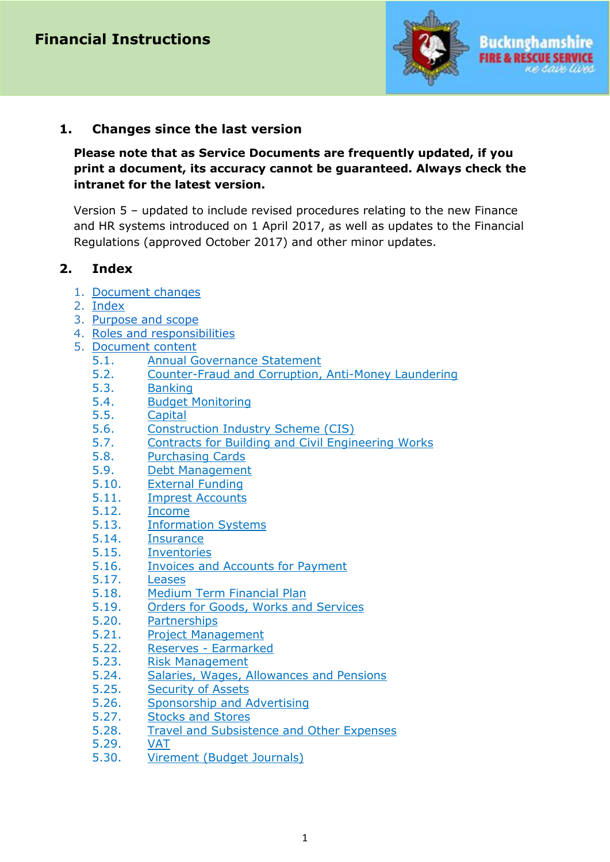

## **1. Changes since the last version**

**Please note that as Service Documents are frequently updated, if you print a document, its accuracy cannot be guaranteed. Always check the intranet for the latest version.**

Version 5 – updated to include revised procedures relating to the new Finance and HR systems introduced on 1 April 2017, as well as updates to the Financial Regulations (approved October 2017) and other minor updates.

## <span id="page-0-1"></span>**2. Index**

- 1. [Document changes](#page-0-0)
- 2. [Index](#page-0-1)
- 3. [Purpose and scope](#page-0-2)
- 4. [Roles and responsibilities](#page-1-0)
- <span id="page-0-2"></span><span id="page-0-0"></span>5. [Document content](#page-1-1)
	- 5.1. [Annual Governance Statement](#page-2-0)
	- 5.2. [Counter-Fraud and Corruption, Anti-Money Laundering](#page-2-1)
	- 5.3. [Banking](#page-3-0)
	- 5.4. [Budget Monitoring](#page-4-0)
	- 5.5. [Capital](#page-7-0)
	- 5.6. [Construction Industry Scheme \(CIS\)](#page-9-0)
	- 5.7. [Contracts for Building and Civil Engineering Works](#page-9-1)
	- 5.8. [Purchasing Cards](#page-11-0)
	- 5.9. [Debt Management](#page-12-0)
	- 5.10. [External Funding](#page-13-0)
	- 5.11. [Imprest Accounts](#page-13-1)
	- 5.12. [Income](#page-13-2)
	- 5.13. [Information Systems](#page-16-0)
	- 5.14. [Insurance](#page-17-0)
	- 5.15. [Inventories](#page-18-0)
	- 5.16. [Invoices and Accounts for Payment](#page-21-0)
	- 5.17. [Leases](#page-25-0)
	- 5.18. [Medium Term Financial Plan](#page-26-0)
	- 5.19. [Orders for Goods, Works and Services](#page-27-0)
	- 5.20. [Partnerships](#page-29-0)
	- 5.21. [Project Management](#page-30-0)
	- 5.22. Reserves [Earmarked](#page-31-0)
	- 5.23. [Risk Management](#page-32-0)
	- 5.24. [Salaries, Wages, Allowances and Pensions](#page-32-1)
	- 5.25. [Security of Assets](#page-35-0)
	- 5.26. [Sponsorship and Advertising](#page-36-0)
	- 5.27. [Stocks and Stores](#page-37-0)
	- 5.28. [Travel and Subsistence and Other Expenses](#page-38-0)
	- 5.29. [VAT](#page-39-0)
	- 5.30. [Virement \(Budget Journals\)](#page-40-0)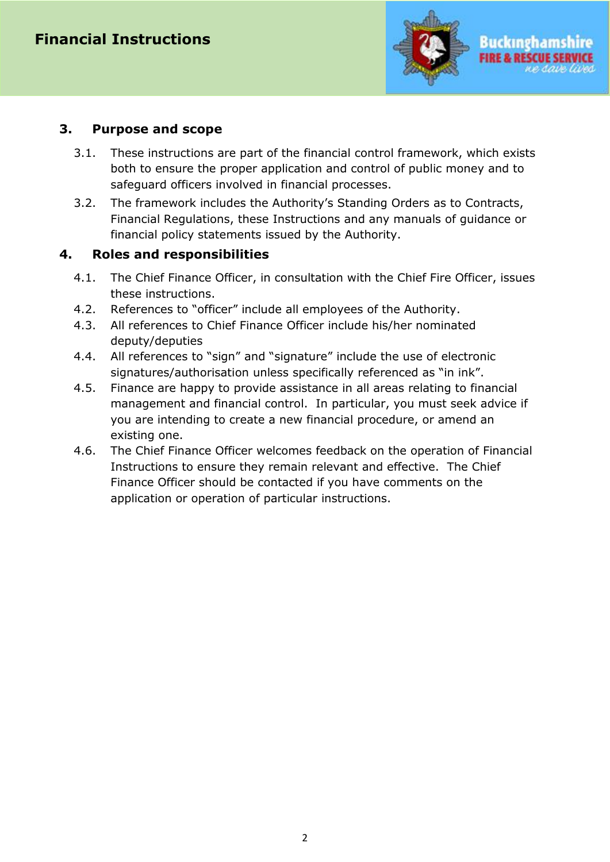

#### **3. Purpose and scope**

- 3.1. These instructions are part of the financial control framework, which exists both to ensure the proper application and control of public money and to safeguard officers involved in financial processes.
- 3.2. The framework includes the Authority's Standing Orders as to Contracts, Financial Regulations, these Instructions and any manuals of guidance or financial policy statements issued by the Authority.

## <span id="page-1-0"></span>**4. Roles and responsibilities**

- 4.1. The Chief Finance Officer, in consultation with the Chief Fire Officer, issues these instructions.
- 4.2. References to "officer" include all employees of the Authority.
- 4.3. All references to Chief Finance Officer include his/her nominated deputy/deputies
- 4.4. All references to "sign" and "signature" include the use of electronic signatures/authorisation unless specifically referenced as "in ink".
- 4.5. Finance are happy to provide assistance in all areas relating to financial management and financial control. In particular, you must seek advice if you are intending to create a new financial procedure, or amend an existing one.
- <span id="page-1-1"></span>4.6. The Chief Finance Officer welcomes feedback on the operation of Financial Instructions to ensure they remain relevant and effective. The Chief Finance Officer should be contacted if you have comments on the application or operation of particular instructions.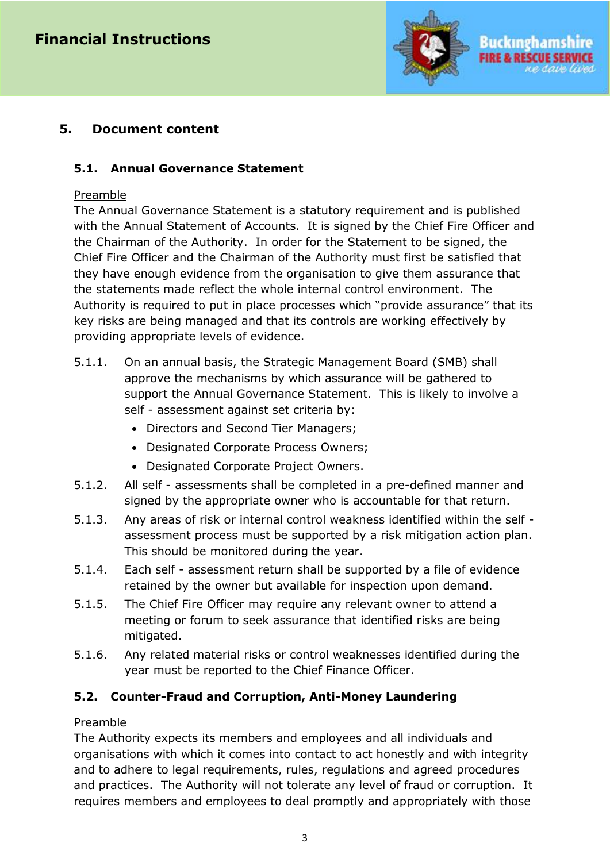

# **5. Document content**

## <span id="page-2-0"></span>**5.1. Annual Governance Statement**

#### Preamble

The Annual Governance Statement is a statutory requirement and is published with the Annual Statement of Accounts. It is signed by the Chief Fire Officer and the Chairman of the Authority. In order for the Statement to be signed, the Chief Fire Officer and the Chairman of the Authority must first be satisfied that they have enough evidence from the organisation to give them assurance that the statements made reflect the whole internal control environment. The Authority is required to put in place processes which "provide assurance" that its key risks are being managed and that its controls are working effectively by providing appropriate levels of evidence.

- 5.1.1. On an annual basis, the Strategic Management Board (SMB) shall approve the mechanisms by which assurance will be gathered to support the Annual Governance Statement. This is likely to involve a self - assessment against set criteria by:
	- Directors and Second Tier Managers;
	- Designated Corporate Process Owners;
	- Designated Corporate Project Owners.
- 5.1.2. All self assessments shall be completed in a pre-defined manner and signed by the appropriate owner who is accountable for that return.
- 5.1.3. Any areas of risk or internal control weakness identified within the self assessment process must be supported by a risk mitigation action plan. This should be monitored during the year.
- 5.1.4. Each self assessment return shall be supported by a file of evidence retained by the owner but available for inspection upon demand.
- 5.1.5. The Chief Fire Officer may require any relevant owner to attend a meeting or forum to seek assurance that identified risks are being mitigated.
- 5.1.6. Any related material risks or control weaknesses identified during the year must be reported to the Chief Finance Officer.

## <span id="page-2-1"></span>**5.2. Counter-Fraud and Corruption, Anti-Money Laundering**

## Preamble

The Authority expects its members and employees and all individuals and organisations with which it comes into contact to act honestly and with integrity and to adhere to legal requirements, rules, regulations and agreed procedures and practices. The Authority will not tolerate any level of fraud or corruption. It requires members and employees to deal promptly and appropriately with those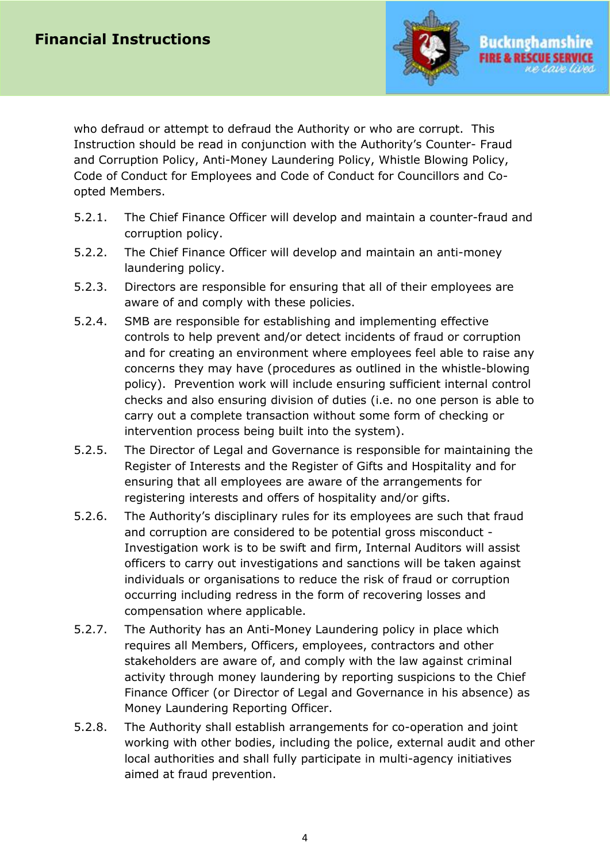

who defraud or attempt to defraud the Authority or who are corrupt. This Instruction should be read in conjunction with the Authority's Counter- Fraud and Corruption Policy, Anti-Money Laundering Policy, Whistle Blowing Policy, Code of Conduct for Employees and Code of Conduct for Councillors and Coopted Members.

- 5.2.1. The Chief Finance Officer will develop and maintain a counter-fraud and corruption policy.
- 5.2.2. The Chief Finance Officer will develop and maintain an anti-money laundering policy.
- 5.2.3. Directors are responsible for ensuring that all of their employees are aware of and comply with these policies.
- 5.2.4. SMB are responsible for establishing and implementing effective controls to help prevent and/or detect incidents of fraud or corruption and for creating an environment where employees feel able to raise any concerns they may have (procedures as outlined in the whistle-blowing policy). Prevention work will include ensuring sufficient internal control checks and also ensuring division of duties (i.e. no one person is able to carry out a complete transaction without some form of checking or intervention process being built into the system).
- 5.2.5. The Director of Legal and Governance is responsible for maintaining the Register of Interests and the Register of Gifts and Hospitality and for ensuring that all employees are aware of the arrangements for registering interests and offers of hospitality and/or gifts.
- 5.2.6. The Authority's disciplinary rules for its employees are such that fraud and corruption are considered to be potential gross misconduct - Investigation work is to be swift and firm, Internal Auditors will assist officers to carry out investigations and sanctions will be taken against individuals or organisations to reduce the risk of fraud or corruption occurring including redress in the form of recovering losses and compensation where applicable.
- 5.2.7. The Authority has an Anti-Money Laundering policy in place which requires all Members, Officers, employees, contractors and other stakeholders are aware of, and comply with the law against criminal activity through money laundering by reporting suspicions to the Chief Finance Officer (or Director of Legal and Governance in his absence) as Money Laundering Reporting Officer.
- <span id="page-3-0"></span>5.2.8. The Authority shall establish arrangements for co-operation and joint working with other bodies, including the police, external audit and other local authorities and shall fully participate in multi-agency initiatives aimed at fraud prevention.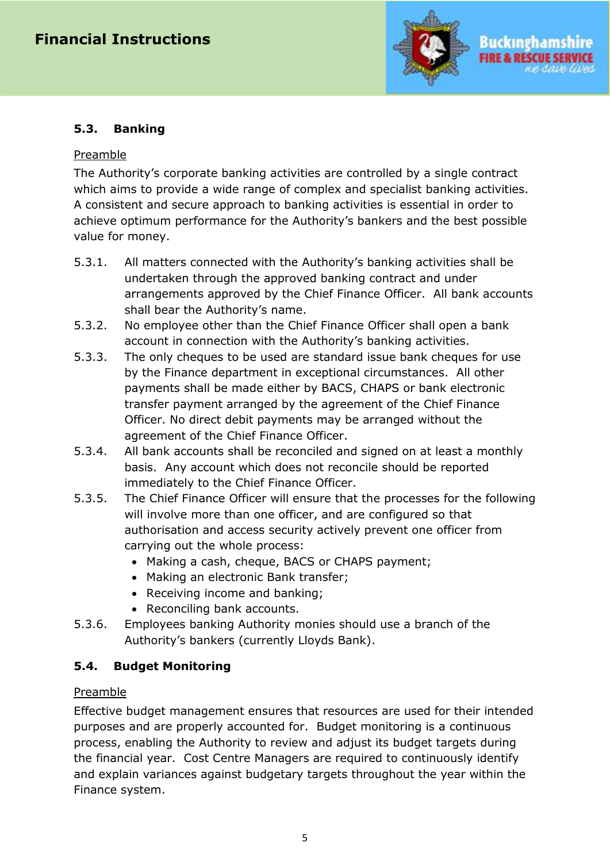

## **5.3. Banking**

#### Preamble

The Authority's corporate banking activities are controlled by a single contract which aims to provide a wide range of complex and specialist banking activities. A consistent and secure approach to banking activities is essential in order to achieve optimum performance for the Authority's bankers and the best possible value for money.

- 5.3.1. All matters connected with the Authority's banking activities shall be undertaken through the approved banking contract and under arrangements approved by the Chief Finance Officer. All bank accounts shall bear the Authority's name.
- 5.3.2. No employee other than the Chief Finance Officer shall open a bank account in connection with the Authority's banking activities.
- 5.3.3. The only cheques to be used are standard issue bank cheques for use by the Finance department in exceptional circumstances. All other payments shall be made either by BACS, CHAPS or bank electronic transfer payment arranged by the agreement of the Chief Finance Officer. No direct debit payments may be arranged without the agreement of the Chief Finance Officer.
- 5.3.4. All bank accounts shall be reconciled and signed on at least a monthly basis. Any account which does not reconcile should be reported immediately to the Chief Finance Officer.
- 5.3.5. The Chief Finance Officer will ensure that the processes for the following will involve more than one officer, and are configured so that authorisation and access security actively prevent one officer from carrying out the whole process:
	- Making a cash, cheque, BACS or CHAPS payment;
	- Making an electronic Bank transfer;
	- Receiving income and banking;
	- Reconciling bank accounts.
- 5.3.6. Employees banking Authority monies should use a branch of the Authority's bankers (currently Lloyds Bank).

# <span id="page-4-0"></span>**5.4. Budget Monitoring**

## Preamble

Effective budget management ensures that resources are used for their intended purposes and are properly accounted for. Budget monitoring is a continuous process, enabling the Authority to review and adjust its budget targets during the financial year. Cost Centre Managers are required to continuously identify and explain variances against budgetary targets throughout the year within the Finance system.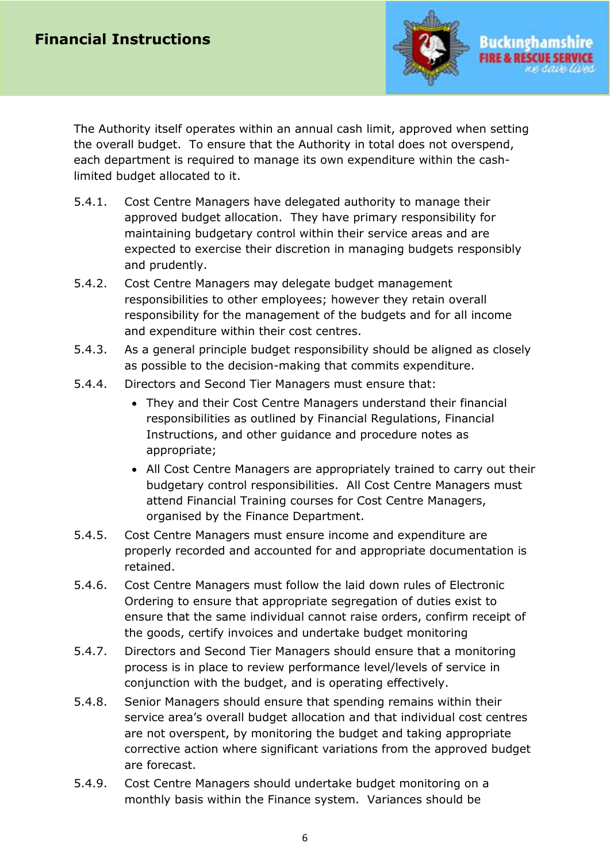

The Authority itself operates within an annual cash limit, approved when setting the overall budget. To ensure that the Authority in total does not overspend, each department is required to manage its own expenditure within the cashlimited budget allocated to it.

- 5.4.1. Cost Centre Managers have delegated authority to manage their approved budget allocation. They have primary responsibility for maintaining budgetary control within their service areas and are expected to exercise their discretion in managing budgets responsibly and prudently.
- 5.4.2. Cost Centre Managers may delegate budget management responsibilities to other employees; however they retain overall responsibility for the management of the budgets and for all income and expenditure within their cost centres.
- 5.4.3. As a general principle budget responsibility should be aligned as closely as possible to the decision-making that commits expenditure.
- 5.4.4. Directors and Second Tier Managers must ensure that:
	- They and their Cost Centre Managers understand their financial responsibilities as outlined by Financial Regulations, Financial Instructions, and other guidance and procedure notes as appropriate;
	- All Cost Centre Managers are appropriately trained to carry out their budgetary control responsibilities. All Cost Centre Managers must attend Financial Training courses for Cost Centre Managers, organised by the Finance Department.
- 5.4.5. Cost Centre Managers must ensure income and expenditure are properly recorded and accounted for and appropriate documentation is retained.
- 5.4.6. Cost Centre Managers must follow the laid down rules of Electronic Ordering to ensure that appropriate segregation of duties exist to ensure that the same individual cannot raise orders, confirm receipt of the goods, certify invoices and undertake budget monitoring
- 5.4.7. Directors and Second Tier Managers should ensure that a monitoring process is in place to review performance level/levels of service in conjunction with the budget, and is operating effectively.
- 5.4.8. Senior Managers should ensure that spending remains within their service area's overall budget allocation and that individual cost centres are not overspent, by monitoring the budget and taking appropriate corrective action where significant variations from the approved budget are forecast.
- 5.4.9. Cost Centre Managers should undertake budget monitoring on a monthly basis within the Finance system. Variances should be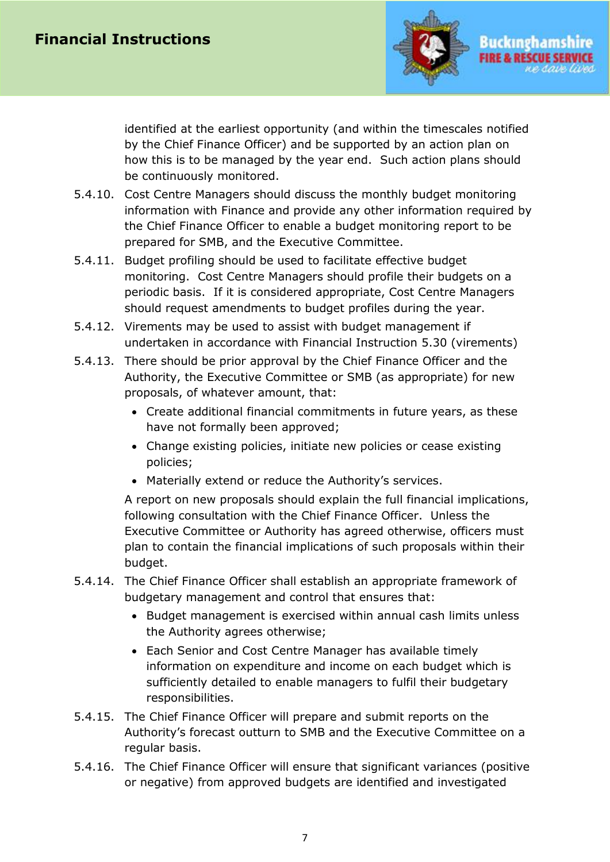

identified at the earliest opportunity (and within the timescales notified by the Chief Finance Officer) and be supported by an action plan on how this is to be managed by the year end. Such action plans should be continuously monitored.

- 5.4.10. Cost Centre Managers should discuss the monthly budget monitoring information with Finance and provide any other information required by the Chief Finance Officer to enable a budget monitoring report to be prepared for SMB, and the Executive Committee.
- 5.4.11. Budget profiling should be used to facilitate effective budget monitoring. Cost Centre Managers should profile their budgets on a periodic basis. If it is considered appropriate, Cost Centre Managers should request amendments to budget profiles during the year.
- 5.4.12. Virements may be used to assist with budget management if undertaken in accordance with Financial Instruction 5.30 (virements)
- 5.4.13. There should be prior approval by the Chief Finance Officer and the Authority, the Executive Committee or SMB (as appropriate) for new proposals, of whatever amount, that:
	- Create additional financial commitments in future years, as these have not formally been approved;
	- Change existing policies, initiate new policies or cease existing policies;
	- Materially extend or reduce the Authority's services.

A report on new proposals should explain the full financial implications, following consultation with the Chief Finance Officer. Unless the Executive Committee or Authority has agreed otherwise, officers must plan to contain the financial implications of such proposals within their budget.

- 5.4.14. The Chief Finance Officer shall establish an appropriate framework of budgetary management and control that ensures that:
	- Budget management is exercised within annual cash limits unless the Authority agrees otherwise;
	- Each Senior and Cost Centre Manager has available timely information on expenditure and income on each budget which is sufficiently detailed to enable managers to fulfil their budgetary responsibilities.
- 5.4.15. The Chief Finance Officer will prepare and submit reports on the Authority's forecast outturn to SMB and the Executive Committee on a regular basis.
- 5.4.16. The Chief Finance Officer will ensure that significant variances (positive or negative) from approved budgets are identified and investigated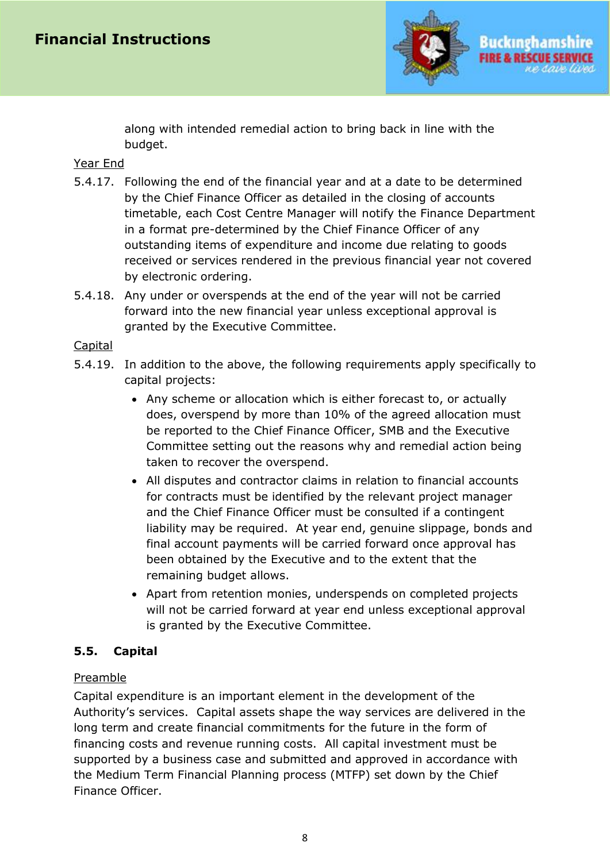

along with intended remedial action to bring back in line with the budget.

#### Year End

- 5.4.17. Following the end of the financial year and at a date to be determined by the Chief Finance Officer as detailed in the closing of accounts timetable, each Cost Centre Manager will notify the Finance Department in a format pre-determined by the Chief Finance Officer of any outstanding items of expenditure and income due relating to goods received or services rendered in the previous financial year not covered by electronic ordering.
- 5.4.18. Any under or overspends at the end of the year will not be carried forward into the new financial year unless exceptional approval is granted by the Executive Committee.

#### **Capital**

- 5.4.19. In addition to the above, the following requirements apply specifically to capital projects:
	- Any scheme or allocation which is either forecast to, or actually does, overspend by more than 10% of the agreed allocation must be reported to the Chief Finance Officer, SMB and the Executive Committee setting out the reasons why and remedial action being taken to recover the overspend.
	- All disputes and contractor claims in relation to financial accounts for contracts must be identified by the relevant project manager and the Chief Finance Officer must be consulted if a contingent liability may be required. At year end, genuine slippage, bonds and final account payments will be carried forward once approval has been obtained by the Executive and to the extent that the remaining budget allows.
	- Apart from retention monies, underspends on completed projects will not be carried forward at year end unless exceptional approval is granted by the Executive Committee.

## <span id="page-7-0"></span>**5.5. Capital**

## Preamble

Capital expenditure is an important element in the development of the Authority's services. Capital assets shape the way services are delivered in the long term and create financial commitments for the future in the form of financing costs and revenue running costs. All capital investment must be supported by a business case and submitted and approved in accordance with the Medium Term Financial Planning process (MTFP) set down by the Chief Finance Officer.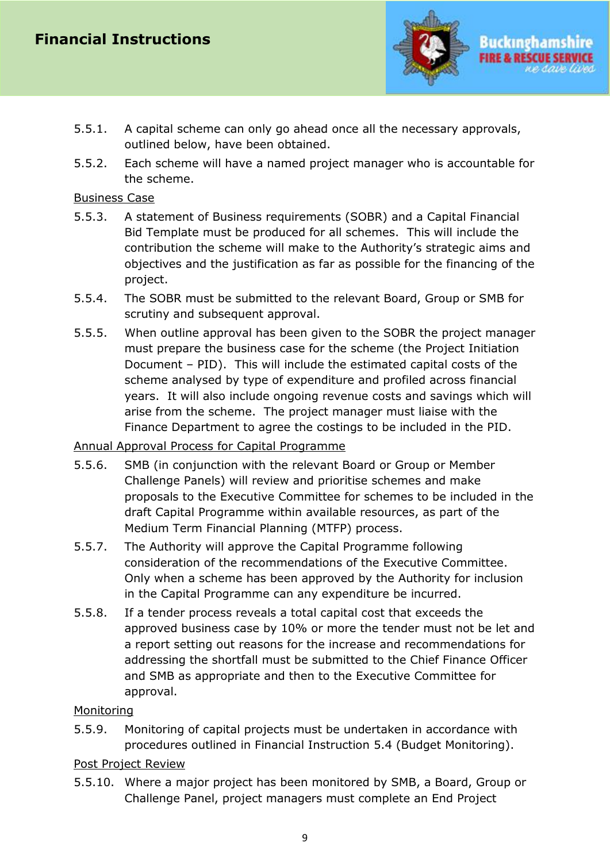

- Buckingham **FIRE & RE**
- 5.5.1. A capital scheme can only go ahead once all the necessary approvals, outlined below, have been obtained.
- 5.5.2. Each scheme will have a named project manager who is accountable for the scheme.

#### Business Case

- 5.5.3. A statement of Business requirements (SOBR) and a Capital Financial Bid Template must be produced for all schemes. This will include the contribution the scheme will make to the Authority's strategic aims and objectives and the justification as far as possible for the financing of the project.
- 5.5.4. The SOBR must be submitted to the relevant Board, Group or SMB for scrutiny and subsequent approval.
- 5.5.5. When outline approval has been given to the SOBR the project manager must prepare the business case for the scheme (the Project Initiation Document – PID). This will include the estimated capital costs of the scheme analysed by type of expenditure and profiled across financial years. It will also include ongoing revenue costs and savings which will arise from the scheme. The project manager must liaise with the Finance Department to agree the costings to be included in the PID.

## Annual Approval Process for Capital Programme

- 5.5.6. SMB (in conjunction with the relevant Board or Group or Member Challenge Panels) will review and prioritise schemes and make proposals to the Executive Committee for schemes to be included in the draft Capital Programme within available resources, as part of the Medium Term Financial Planning (MTFP) process.
- 5.5.7. The Authority will approve the Capital Programme following consideration of the recommendations of the Executive Committee. Only when a scheme has been approved by the Authority for inclusion in the Capital Programme can any expenditure be incurred.
- 5.5.8. If a tender process reveals a total capital cost that exceeds the approved business case by 10% or more the tender must not be let and a report setting out reasons for the increase and recommendations for addressing the shortfall must be submitted to the Chief Finance Officer and SMB as appropriate and then to the Executive Committee for approval.

## **Monitoring**

5.5.9. Monitoring of capital projects must be undertaken in accordance with procedures outlined in Financial Instruction 5.4 (Budget Monitoring).

## Post Project Review

5.5.10. Where a major project has been monitored by SMB, a Board, Group or Challenge Panel, project managers must complete an End Project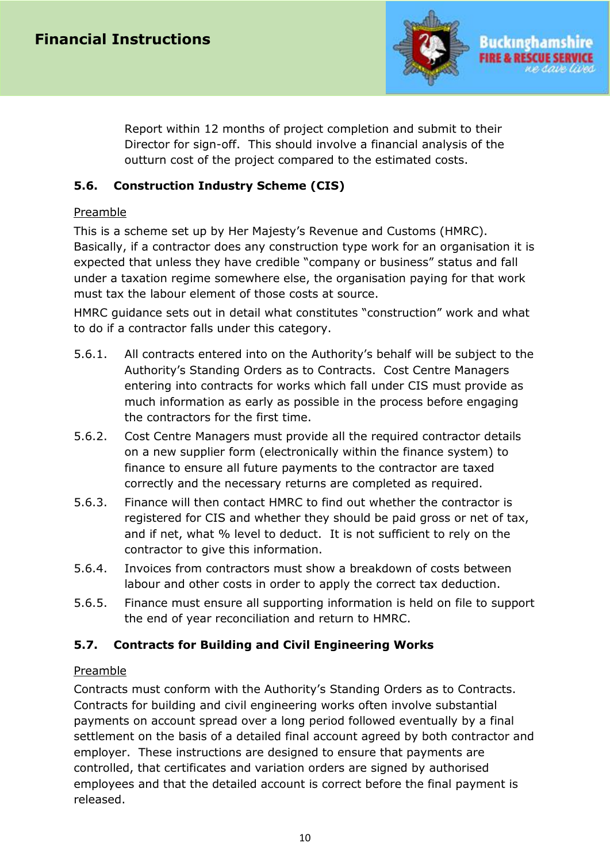

Report within 12 months of project completion and submit to their Director for sign-off. This should involve a financial analysis of the outturn cost of the project compared to the estimated costs.

# <span id="page-9-0"></span>**5.6. Construction Industry Scheme (CIS)**

#### Preamble

This is a scheme set up by Her Majesty's Revenue and Customs (HMRC). Basically, if a contractor does any construction type work for an organisation it is expected that unless they have credible "company or business" status and fall under a taxation regime somewhere else, the organisation paying for that work must tax the labour element of those costs at source.

HMRC guidance sets out in detail what constitutes "construction" work and what to do if a contractor falls under this category.

- 5.6.1. All contracts entered into on the Authority's behalf will be subject to the Authority's Standing Orders as to Contracts. Cost Centre Managers entering into contracts for works which fall under CIS must provide as much information as early as possible in the process before engaging the contractors for the first time.
- 5.6.2. Cost Centre Managers must provide all the required contractor details on a new supplier form (electronically within the finance system) to finance to ensure all future payments to the contractor are taxed correctly and the necessary returns are completed as required.
- 5.6.3. Finance will then contact HMRC to find out whether the contractor is registered for CIS and whether they should be paid gross or net of tax, and if net, what % level to deduct. It is not sufficient to rely on the contractor to give this information.
- 5.6.4. Invoices from contractors must show a breakdown of costs between labour and other costs in order to apply the correct tax deduction.
- 5.6.5. Finance must ensure all supporting information is held on file to support the end of year reconciliation and return to HMRC.

## <span id="page-9-1"></span>**5.7. Contracts for Building and Civil Engineering Works**

#### Preamble

Contracts must conform with the Authority's Standing Orders as to Contracts. Contracts for building and civil engineering works often involve substantial payments on account spread over a long period followed eventually by a final settlement on the basis of a detailed final account agreed by both contractor and employer. These instructions are designed to ensure that payments are controlled, that certificates and variation orders are signed by authorised employees and that the detailed account is correct before the final payment is released.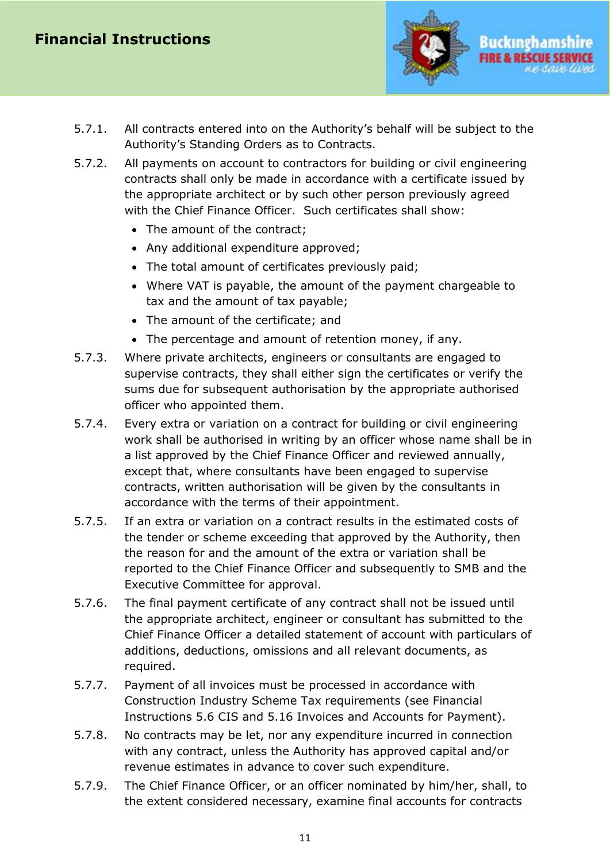

- 5.7.1. All contracts entered into on the Authority's behalf will be subject to the Authority's Standing Orders as to Contracts.
- 5.7.2. All payments on account to contractors for building or civil engineering contracts shall only be made in accordance with a certificate issued by the appropriate architect or by such other person previously agreed with the Chief Finance Officer. Such certificates shall show:
	- The amount of the contract;
	- Any additional expenditure approved;
	- The total amount of certificates previously paid;
	- Where VAT is payable, the amount of the payment chargeable to tax and the amount of tax payable;
	- The amount of the certificate; and
	- The percentage and amount of retention money, if any.
- 5.7.3. Where private architects, engineers or consultants are engaged to supervise contracts, they shall either sign the certificates or verify the sums due for subsequent authorisation by the appropriate authorised officer who appointed them.
- 5.7.4. Every extra or variation on a contract for building or civil engineering work shall be authorised in writing by an officer whose name shall be in a list approved by the Chief Finance Officer and reviewed annually, except that, where consultants have been engaged to supervise contracts, written authorisation will be given by the consultants in accordance with the terms of their appointment.
- 5.7.5. If an extra or variation on a contract results in the estimated costs of the tender or scheme exceeding that approved by the Authority, then the reason for and the amount of the extra or variation shall be reported to the Chief Finance Officer and subsequently to SMB and the Executive Committee for approval.
- 5.7.6. The final payment certificate of any contract shall not be issued until the appropriate architect, engineer or consultant has submitted to the Chief Finance Officer a detailed statement of account with particulars of additions, deductions, omissions and all relevant documents, as required.
- 5.7.7. Payment of all invoices must be processed in accordance with Construction Industry Scheme Tax requirements (see Financial Instructions 5.6 CIS and 5.16 Invoices and Accounts for Payment).
- 5.7.8. No contracts may be let, nor any expenditure incurred in connection with any contract, unless the Authority has approved capital and/or revenue estimates in advance to cover such expenditure.
- 5.7.9. The Chief Finance Officer, or an officer nominated by him/her, shall, to the extent considered necessary, examine final accounts for contracts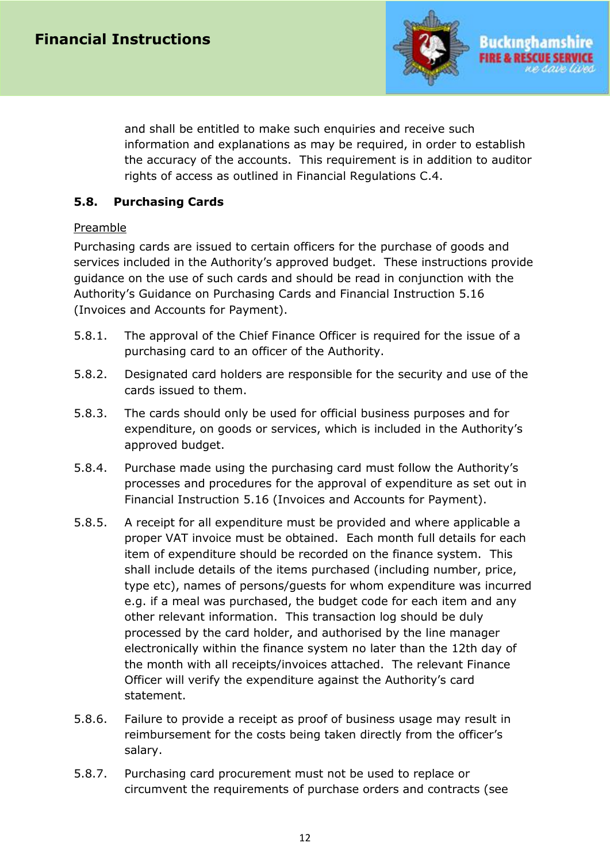

and shall be entitled to make such enquiries and receive such information and explanations as may be required, in order to establish the accuracy of the accounts. This requirement is in addition to auditor rights of access as outlined in Financial Regulations C.4.

#### <span id="page-11-0"></span>**5.8. Purchasing Cards**

#### Preamble

Purchasing cards are issued to certain officers for the purchase of goods and services included in the Authority's approved budget. These instructions provide guidance on the use of such cards and should be read in conjunction with the Authority's Guidance on Purchasing Cards and Financial Instruction 5.16 (Invoices and Accounts for Payment).

- 5.8.1. The approval of the Chief Finance Officer is required for the issue of a purchasing card to an officer of the Authority.
- 5.8.2. Designated card holders are responsible for the security and use of the cards issued to them.
- 5.8.3. The cards should only be used for official business purposes and for expenditure, on goods or services, which is included in the Authority's approved budget.
- 5.8.4. Purchase made using the purchasing card must follow the Authority's processes and procedures for the approval of expenditure as set out in Financial Instruction 5.16 (Invoices and Accounts for Payment).
- 5.8.5. A receipt for all expenditure must be provided and where applicable a proper VAT invoice must be obtained. Each month full details for each item of expenditure should be recorded on the finance system. This shall include details of the items purchased (including number, price, type etc), names of persons/guests for whom expenditure was incurred e.g. if a meal was purchased, the budget code for each item and any other relevant information. This transaction log should be duly processed by the card holder, and authorised by the line manager electronically within the finance system no later than the 12th day of the month with all receipts/invoices attached. The relevant Finance Officer will verify the expenditure against the Authority's card statement.
- 5.8.6. Failure to provide a receipt as proof of business usage may result in reimbursement for the costs being taken directly from the officer's salary.
- 5.8.7. Purchasing card procurement must not be used to replace or circumvent the requirements of purchase orders and contracts (see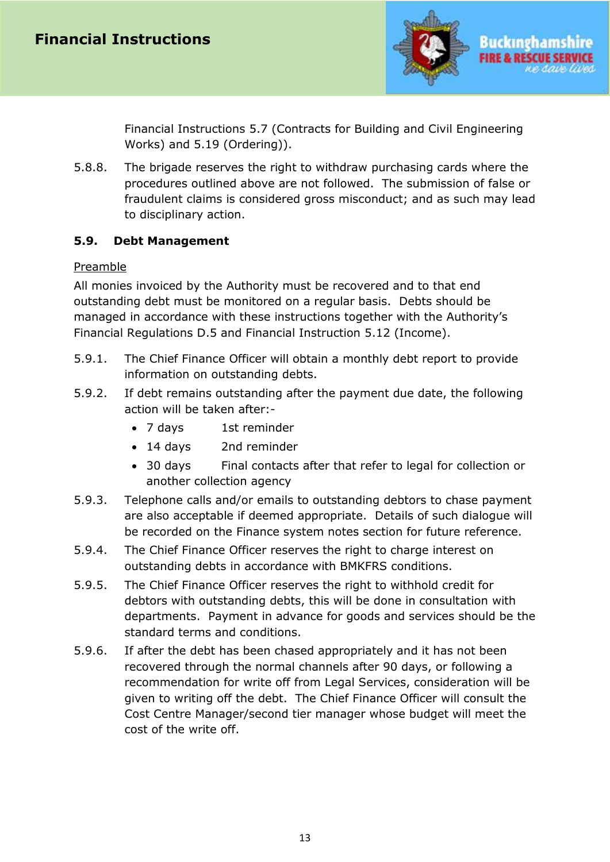

Financial Instructions 5.7 (Contracts for Building and Civil Engineering Works) and 5.19 (Ordering)).

5.8.8. The brigade reserves the right to withdraw purchasing cards where the procedures outlined above are not followed. The submission of false or fraudulent claims is considered gross misconduct; and as such may lead to disciplinary action.

## <span id="page-12-0"></span>**5.9. Debt Management**

#### Preamble

All monies invoiced by the Authority must be recovered and to that end outstanding debt must be monitored on a regular basis. Debts should be managed in accordance with these instructions together with the Authority's Financial Regulations D.5 and Financial Instruction 5.12 (Income).

- 5.9.1. The Chief Finance Officer will obtain a monthly debt report to provide information on outstanding debts.
- 5.9.2. If debt remains outstanding after the payment due date, the following action will be taken after:-
	- 7 days 1st reminder
	- 14 days 2nd reminder
	- 30 days Final contacts after that refer to legal for collection or another collection agency
- 5.9.3. Telephone calls and/or emails to outstanding debtors to chase payment are also acceptable if deemed appropriate. Details of such dialogue will be recorded on the Finance system notes section for future reference.
- 5.9.4. The Chief Finance Officer reserves the right to charge interest on outstanding debts in accordance with BMKFRS conditions.
- 5.9.5. The Chief Finance Officer reserves the right to withhold credit for debtors with outstanding debts, this will be done in consultation with departments. Payment in advance for goods and services should be the standard terms and conditions.
- 5.9.6. If after the debt has been chased appropriately and it has not been recovered through the normal channels after 90 days, or following a recommendation for write off from Legal Services, consideration will be given to writing off the debt. The Chief Finance Officer will consult the Cost Centre Manager/second tier manager whose budget will meet the cost of the write off.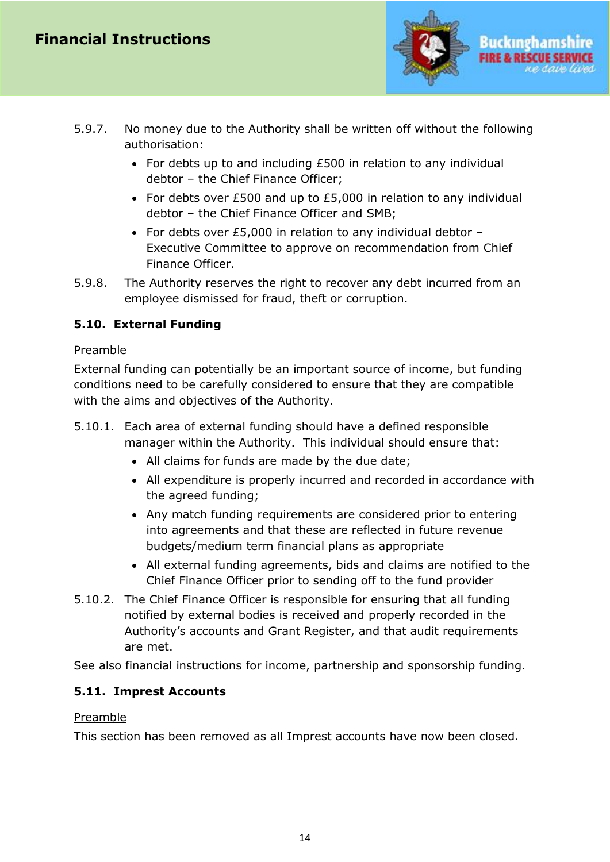

- 5.9.7. No money due to the Authority shall be written off without the following authorisation:
	- For debts up to and including £500 in relation to any individual debtor – the Chief Finance Officer;
	- For debts over £500 and up to £5,000 in relation to any individual debtor – the Chief Finance Officer and SMB;
	- For debts over £5,000 in relation to any individual debtor Executive Committee to approve on recommendation from Chief Finance Officer.
- 5.9.8. The Authority reserves the right to recover any debt incurred from an employee dismissed for fraud, theft or corruption.

# <span id="page-13-0"></span>**5.10. External Funding**

## Preamble

External funding can potentially be an important source of income, but funding conditions need to be carefully considered to ensure that they are compatible with the aims and objectives of the Authority.

- 5.10.1. Each area of external funding should have a defined responsible manager within the Authority. This individual should ensure that:
	- All claims for funds are made by the due date;
	- All expenditure is properly incurred and recorded in accordance with the agreed funding;
	- Any match funding requirements are considered prior to entering into agreements and that these are reflected in future revenue budgets/medium term financial plans as appropriate
	- All external funding agreements, bids and claims are notified to the Chief Finance Officer prior to sending off to the fund provider
- 5.10.2. The Chief Finance Officer is responsible for ensuring that all funding notified by external bodies is received and properly recorded in the Authority's accounts and Grant Register, and that audit requirements are met.

See also financial instructions for income, partnership and sponsorship funding.

# <span id="page-13-1"></span>**5.11. Imprest Accounts**

## Preamble

<span id="page-13-2"></span>This section has been removed as all Imprest accounts have now been closed.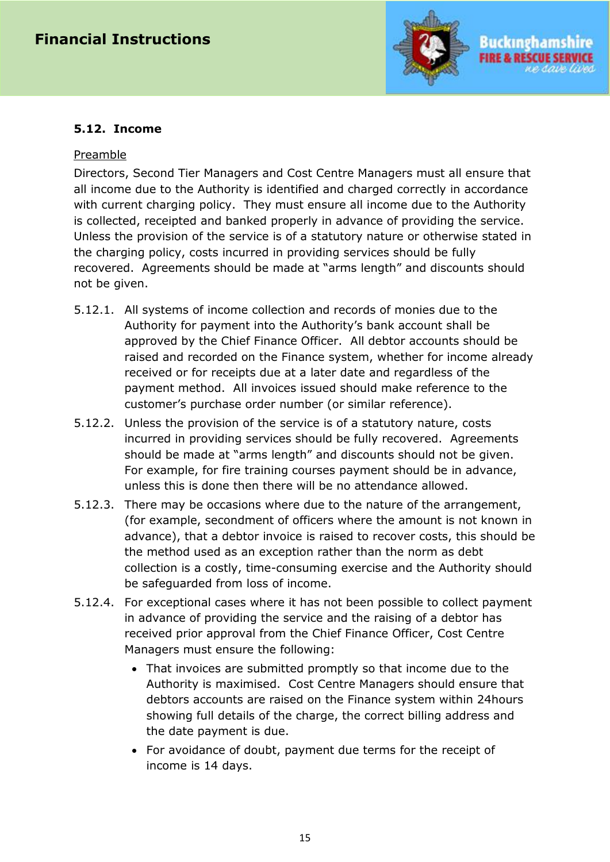

#### **5.12. Income**

#### Preamble

Directors, Second Tier Managers and Cost Centre Managers must all ensure that all income due to the Authority is identified and charged correctly in accordance with current charging policy. They must ensure all income due to the Authority is collected, receipted and banked properly in advance of providing the service. Unless the provision of the service is of a statutory nature or otherwise stated in the charging policy, costs incurred in providing services should be fully recovered. Agreements should be made at "arms length" and discounts should not be given.

- 5.12.1. All systems of income collection and records of monies due to the Authority for payment into the Authority's bank account shall be approved by the Chief Finance Officer. All debtor accounts should be raised and recorded on the Finance system, whether for income already received or for receipts due at a later date and regardless of the payment method. All invoices issued should make reference to the customer's purchase order number (or similar reference).
- 5.12.2. Unless the provision of the service is of a statutory nature, costs incurred in providing services should be fully recovered. Agreements should be made at "arms length" and discounts should not be given. For example, for fire training courses payment should be in advance, unless this is done then there will be no attendance allowed.
- 5.12.3. There may be occasions where due to the nature of the arrangement, (for example, secondment of officers where the amount is not known in advance), that a debtor invoice is raised to recover costs, this should be the method used as an exception rather than the norm as debt collection is a costly, time-consuming exercise and the Authority should be safeguarded from loss of income.
- 5.12.4. For exceptional cases where it has not been possible to collect payment in advance of providing the service and the raising of a debtor has received prior approval from the Chief Finance Officer, Cost Centre Managers must ensure the following:
	- That invoices are submitted promptly so that income due to the Authority is maximised. Cost Centre Managers should ensure that debtors accounts are raised on the Finance system within 24hours showing full details of the charge, the correct billing address and the date payment is due.
	- For avoidance of doubt, payment due terms for the receipt of income is 14 days.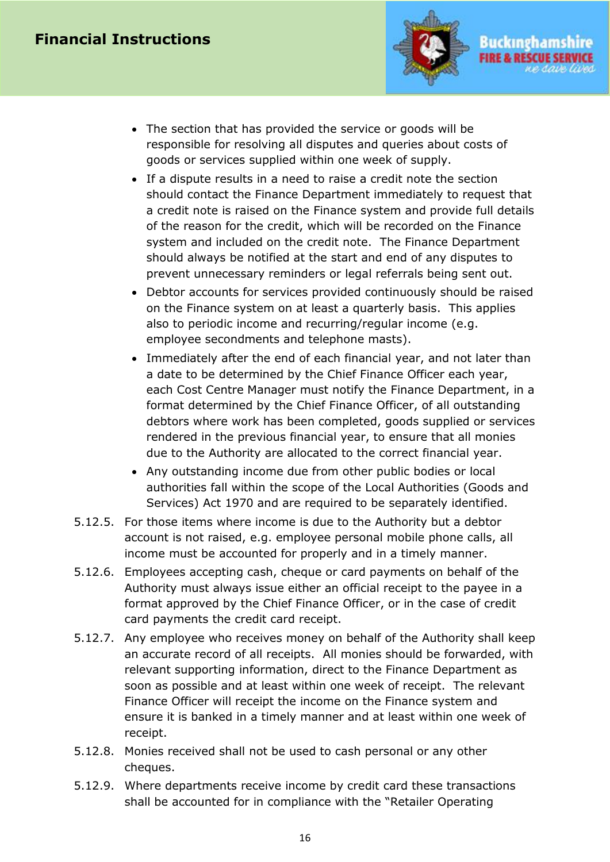# **Financial Instructions**



Buckingham

- The section that has provided the service or goods will be responsible for resolving all disputes and queries about costs of goods or services supplied within one week of supply.
- If a dispute results in a need to raise a credit note the section should contact the Finance Department immediately to request that a credit note is raised on the Finance system and provide full details of the reason for the credit, which will be recorded on the Finance system and included on the credit note. The Finance Department should always be notified at the start and end of any disputes to prevent unnecessary reminders or legal referrals being sent out.
- Debtor accounts for services provided continuously should be raised on the Finance system on at least a quarterly basis. This applies also to periodic income and recurring/regular income (e.g. employee secondments and telephone masts).
- Immediately after the end of each financial year, and not later than a date to be determined by the Chief Finance Officer each year, each Cost Centre Manager must notify the Finance Department, in a format determined by the Chief Finance Officer, of all outstanding debtors where work has been completed, goods supplied or services rendered in the previous financial year, to ensure that all monies due to the Authority are allocated to the correct financial year.
- Any outstanding income due from other public bodies or local authorities fall within the scope of the Local Authorities (Goods and Services) Act 1970 and are required to be separately identified.
- 5.12.5. For those items where income is due to the Authority but a debtor account is not raised, e.g. employee personal mobile phone calls, all income must be accounted for properly and in a timely manner.
- 5.12.6. Employees accepting cash, cheque or card payments on behalf of the Authority must always issue either an official receipt to the payee in a format approved by the Chief Finance Officer, or in the case of credit card payments the credit card receipt.
- 5.12.7. Any employee who receives money on behalf of the Authority shall keep an accurate record of all receipts. All monies should be forwarded, with relevant supporting information, direct to the Finance Department as soon as possible and at least within one week of receipt. The relevant Finance Officer will receipt the income on the Finance system and ensure it is banked in a timely manner and at least within one week of receipt.
- 5.12.8. Monies received shall not be used to cash personal or any other cheques.
- 5.12.9. Where departments receive income by credit card these transactions shall be accounted for in compliance with the "Retailer Operating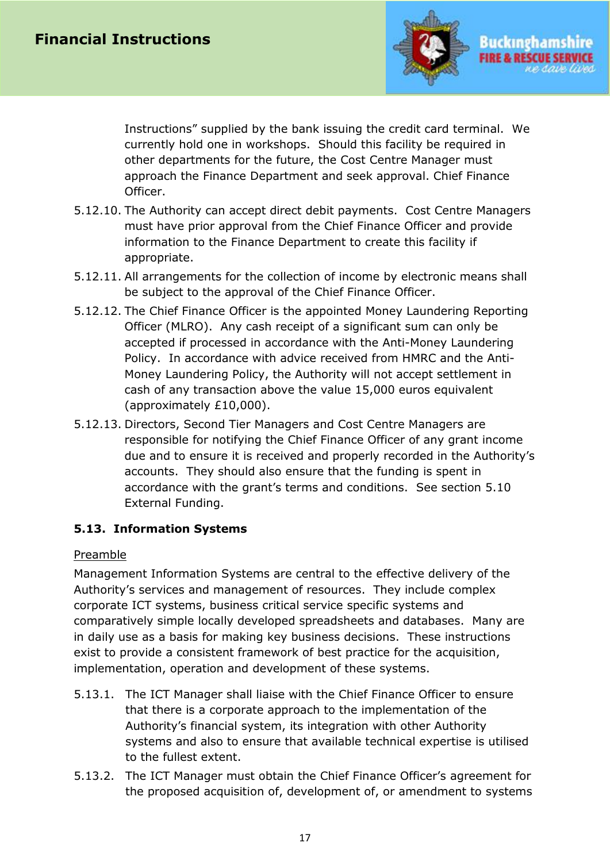

Instructions" supplied by the bank issuing the credit card terminal. We currently hold one in workshops. Should this facility be required in other departments for the future, the Cost Centre Manager must approach the Finance Department and seek approval. Chief Finance Officer.

- 5.12.10. The Authority can accept direct debit payments. Cost Centre Managers must have prior approval from the Chief Finance Officer and provide information to the Finance Department to create this facility if appropriate.
- 5.12.11. All arrangements for the collection of income by electronic means shall be subject to the approval of the Chief Finance Officer.
- 5.12.12. The Chief Finance Officer is the appointed Money Laundering Reporting Officer (MLRO). Any cash receipt of a significant sum can only be accepted if processed in accordance with the Anti-Money Laundering Policy. In accordance with advice received from HMRC and the Anti-Money Laundering Policy, the Authority will not accept settlement in cash of any transaction above the value 15,000 euros equivalent (approximately £10,000).
- 5.12.13. Directors, Second Tier Managers and Cost Centre Managers are responsible for notifying the Chief Finance Officer of any grant income due and to ensure it is received and properly recorded in the Authority's accounts. They should also ensure that the funding is spent in accordance with the grant's terms and conditions. See section 5.10 External Funding.

## <span id="page-16-0"></span>**5.13. Information Systems**

## Preamble

Management Information Systems are central to the effective delivery of the Authority's services and management of resources. They include complex corporate ICT systems, business critical service specific systems and comparatively simple locally developed spreadsheets and databases. Many are in daily use as a basis for making key business decisions. These instructions exist to provide a consistent framework of best practice for the acquisition, implementation, operation and development of these systems.

- 5.13.1. The ICT Manager shall liaise with the Chief Finance Officer to ensure that there is a corporate approach to the implementation of the Authority's financial system, its integration with other Authority systems and also to ensure that available technical expertise is utilised to the fullest extent.
- 5.13.2. The ICT Manager must obtain the Chief Finance Officer's agreement for the proposed acquisition of, development of, or amendment to systems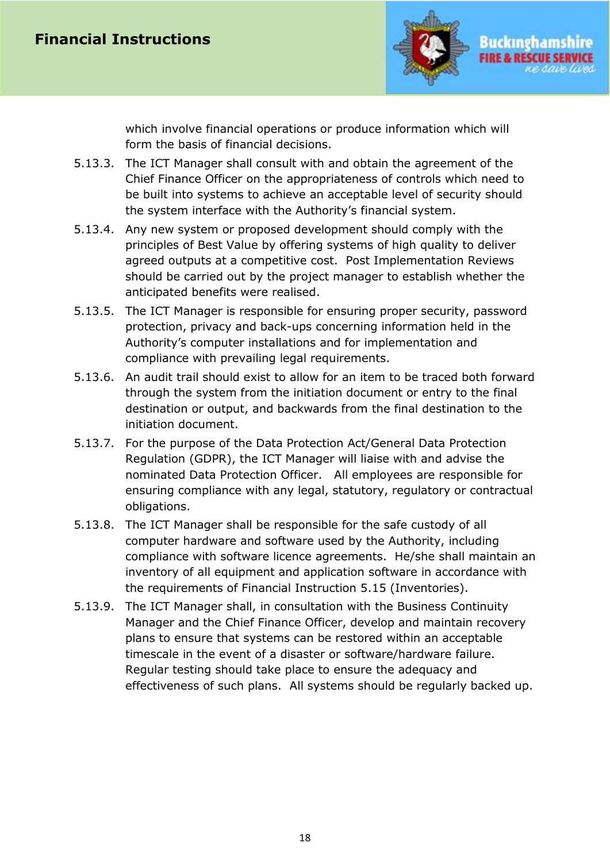

which involve financial operations or produce information which will form the basis of financial decisions.

- 5.13.3. The ICT Manager shall consult with and obtain the agreement of the Chief Finance Officer on the appropriateness of controls which need to be built into systems to achieve an acceptable level of security should the system interface with the Authority's financial system.
- 5.13.4. Any new system or proposed development should comply with the principles of Best Value by offering systems of high quality to deliver agreed outputs at a competitive cost. Post Implementation Reviews should be carried out by the project manager to establish whether the anticipated benefits were realised.
- 5.13.5. The ICT Manager is responsible for ensuring proper security, password protection, privacy and back-ups concerning information held in the Authority's computer installations and for implementation and compliance with prevailing legal requirements.
- 5.13.6. An audit trail should exist to allow for an item to be traced both forward through the system from the initiation document or entry to the final destination or output, and backwards from the final destination to the initiation document.
- 5.13.7. For the purpose of the Data Protection Act/General Data Protection Regulation (GDPR), the ICT Manager will liaise with and advise the nominated Data Protection Officer. All employees are responsible for ensuring compliance with any legal, statutory, regulatory or contractual obligations.
- 5.13.8. The ICT Manager shall be responsible for the safe custody of all computer hardware and software used by the Authority, including compliance with software licence agreements. He/she shall maintain an inventory of all equipment and application software in accordance with the requirements of Financial Instruction 5.15 (Inventories).
- <span id="page-17-0"></span>5.13.9. The ICT Manager shall, in consultation with the Business Continuity Manager and the Chief Finance Officer, develop and maintain recovery plans to ensure that systems can be restored within an acceptable timescale in the event of a disaster or software/hardware failure. Regular testing should take place to ensure the adequacy and effectiveness of such plans. All systems should be regularly backed up.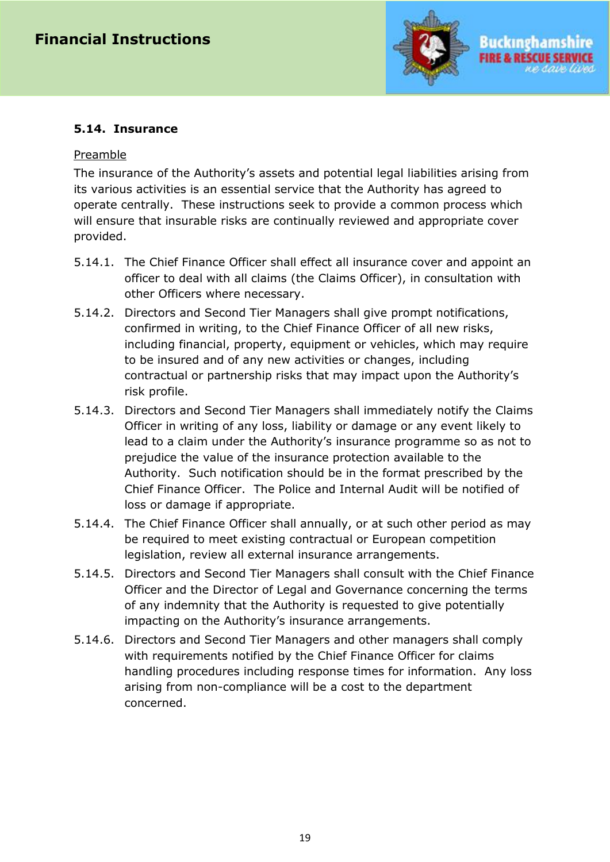

#### **5.14. Insurance**

#### Preamble

The insurance of the Authority's assets and potential legal liabilities arising from its various activities is an essential service that the Authority has agreed to operate centrally. These instructions seek to provide a common process which will ensure that insurable risks are continually reviewed and appropriate cover provided.

- 5.14.1. The Chief Finance Officer shall effect all insurance cover and appoint an officer to deal with all claims (the Claims Officer), in consultation with other Officers where necessary.
- 5.14.2. Directors and Second Tier Managers shall give prompt notifications, confirmed in writing, to the Chief Finance Officer of all new risks, including financial, property, equipment or vehicles, which may require to be insured and of any new activities or changes, including contractual or partnership risks that may impact upon the Authority's risk profile.
- 5.14.3. Directors and Second Tier Managers shall immediately notify the Claims Officer in writing of any loss, liability or damage or any event likely to lead to a claim under the Authority's insurance programme so as not to prejudice the value of the insurance protection available to the Authority. Such notification should be in the format prescribed by the Chief Finance Officer. The Police and Internal Audit will be notified of loss or damage if appropriate.
- 5.14.4. The Chief Finance Officer shall annually, or at such other period as may be required to meet existing contractual or European competition legislation, review all external insurance arrangements.
- 5.14.5. Directors and Second Tier Managers shall consult with the Chief Finance Officer and the Director of Legal and Governance concerning the terms of any indemnity that the Authority is requested to give potentially impacting on the Authority's insurance arrangements.
- <span id="page-18-0"></span>5.14.6. Directors and Second Tier Managers and other managers shall comply with requirements notified by the Chief Finance Officer for claims handling procedures including response times for information. Any loss arising from non-compliance will be a cost to the department concerned.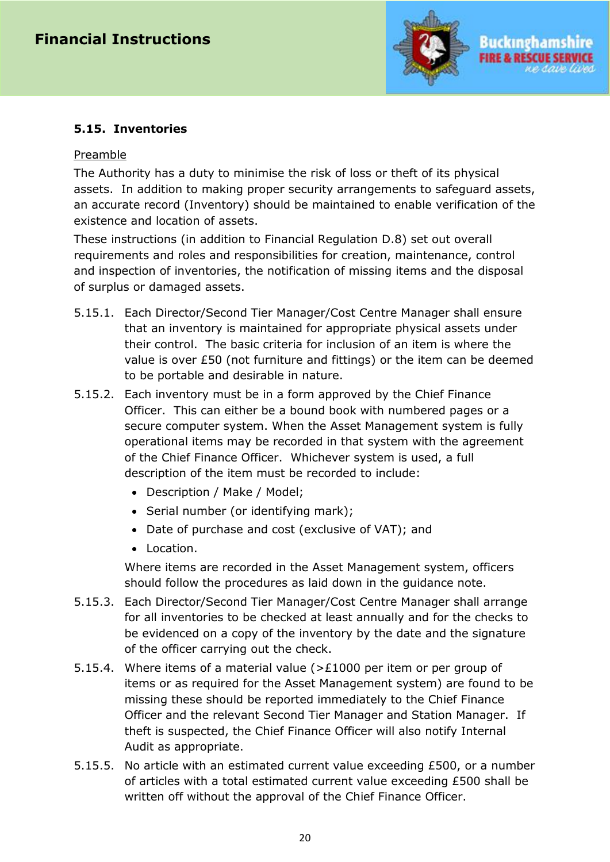

## **5.15. Inventories**

#### Preamble

The Authority has a duty to minimise the risk of loss or theft of its physical assets. In addition to making proper security arrangements to safeguard assets, an accurate record (Inventory) should be maintained to enable verification of the existence and location of assets.

These instructions (in addition to Financial Regulation D.8) set out overall requirements and roles and responsibilities for creation, maintenance, control and inspection of inventories, the notification of missing items and the disposal of surplus or damaged assets.

- 5.15.1. Each Director/Second Tier Manager/Cost Centre Manager shall ensure that an inventory is maintained for appropriate physical assets under their control. The basic criteria for inclusion of an item is where the value is over £50 (not furniture and fittings) or the item can be deemed to be portable and desirable in nature.
- 5.15.2. Each inventory must be in a form approved by the Chief Finance Officer. This can either be a bound book with numbered pages or a secure computer system. When the Asset Management system is fully operational items may be recorded in that system with the agreement of the Chief Finance Officer. Whichever system is used, a full description of the item must be recorded to include:
	- Description / Make / Model;
	- Serial number (or identifying mark);
	- Date of purchase and cost (exclusive of VAT); and
	- Location.

Where items are recorded in the Asset Management system, officers should follow the procedures as laid down in the guidance note.

- 5.15.3. Each Director/Second Tier Manager/Cost Centre Manager shall arrange for all inventories to be checked at least annually and for the checks to be evidenced on a copy of the inventory by the date and the signature of the officer carrying out the check.
- 5.15.4. Where items of a material value (>£1000 per item or per group of items or as required for the Asset Management system) are found to be missing these should be reported immediately to the Chief Finance Officer and the relevant Second Tier Manager and Station Manager. If theft is suspected, the Chief Finance Officer will also notify Internal Audit as appropriate.
- 5.15.5. No article with an estimated current value exceeding £500, or a number of articles with a total estimated current value exceeding £500 shall be written off without the approval of the Chief Finance Officer.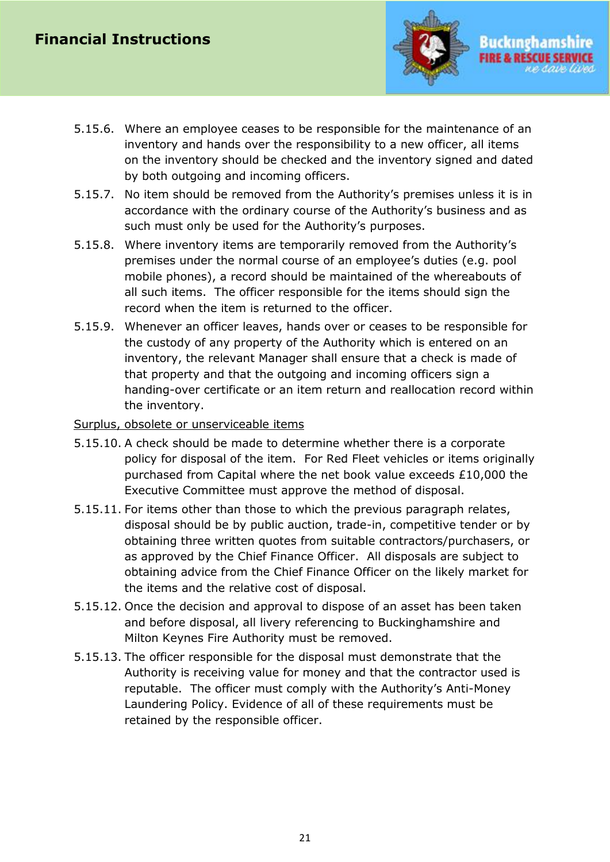

- 5.15.6. Where an employee ceases to be responsible for the maintenance of an inventory and hands over the responsibility to a new officer, all items on the inventory should be checked and the inventory signed and dated by both outgoing and incoming officers.
- 5.15.7. No item should be removed from the Authority's premises unless it is in accordance with the ordinary course of the Authority's business and as such must only be used for the Authority's purposes.
- 5.15.8. Where inventory items are temporarily removed from the Authority's premises under the normal course of an employee's duties (e.g. pool mobile phones), a record should be maintained of the whereabouts of all such items. The officer responsible for the items should sign the record when the item is returned to the officer.
- 5.15.9. Whenever an officer leaves, hands over or ceases to be responsible for the custody of any property of the Authority which is entered on an inventory, the relevant Manager shall ensure that a check is made of that property and that the outgoing and incoming officers sign a handing-over certificate or an item return and reallocation record within the inventory.
- Surplus, obsolete or unserviceable items
- 5.15.10. A check should be made to determine whether there is a corporate policy for disposal of the item. For Red Fleet vehicles or items originally purchased from Capital where the net book value exceeds £10,000 the Executive Committee must approve the method of disposal.
- 5.15.11. For items other than those to which the previous paragraph relates, disposal should be by public auction, trade-in, competitive tender or by obtaining three written quotes from suitable contractors/purchasers, or as approved by the Chief Finance Officer. All disposals are subject to obtaining advice from the Chief Finance Officer on the likely market for the items and the relative cost of disposal.
- 5.15.12. Once the decision and approval to dispose of an asset has been taken and before disposal, all livery referencing to Buckinghamshire and Milton Keynes Fire Authority must be removed.
- 5.15.13. The officer responsible for the disposal must demonstrate that the Authority is receiving value for money and that the contractor used is reputable. The officer must comply with the Authority's Anti-Money Laundering Policy. Evidence of all of these requirements must be retained by the responsible officer.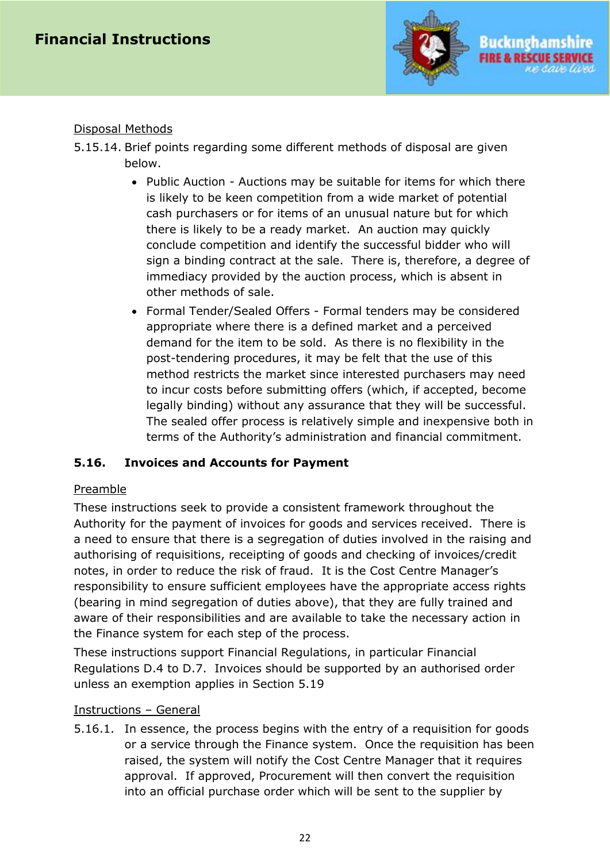

#### Disposal Methods

- 5.15.14. Brief points regarding some different methods of disposal are given below.
	- Public Auction Auctions may be suitable for items for which there is likely to be keen competition from a wide market of potential cash purchasers or for items of an unusual nature but for which there is likely to be a ready market. An auction may quickly conclude competition and identify the successful bidder who will sign a binding contract at the sale. There is, therefore, a degree of immediacy provided by the auction process, which is absent in other methods of sale.
	- Formal Tender/Sealed Offers Formal tenders may be considered appropriate where there is a defined market and a perceived demand for the item to be sold. As there is no flexibility in the post-tendering procedures, it may be felt that the use of this method restricts the market since interested purchasers may need to incur costs before submitting offers (which, if accepted, become legally binding) without any assurance that they will be successful. The sealed offer process is relatively simple and inexpensive both in terms of the Authority's administration and financial commitment.

## <span id="page-21-0"></span>**5.16. Invoices and Accounts for Payment**

## Preamble

These instructions seek to provide a consistent framework throughout the Authority for the payment of invoices for goods and services received. There is a need to ensure that there is a segregation of duties involved in the raising and authorising of requisitions, receipting of goods and checking of invoices/credit notes, in order to reduce the risk of fraud. It is the Cost Centre Manager's responsibility to ensure sufficient employees have the appropriate access rights (bearing in mind segregation of duties above), that they are fully trained and aware of their responsibilities and are available to take the necessary action in the Finance system for each step of the process.

These instructions support Financial Regulations, in particular Financial Regulations D.4 to D.7. Invoices should be supported by an authorised order unless an exemption applies in Section 5.19

## Instructions – General

5.16.1. In essence, the process begins with the entry of a requisition for goods or a service through the Finance system. Once the requisition has been raised, the system will notify the Cost Centre Manager that it requires approval. If approved, Procurement will then convert the requisition into an official purchase order which will be sent to the supplier by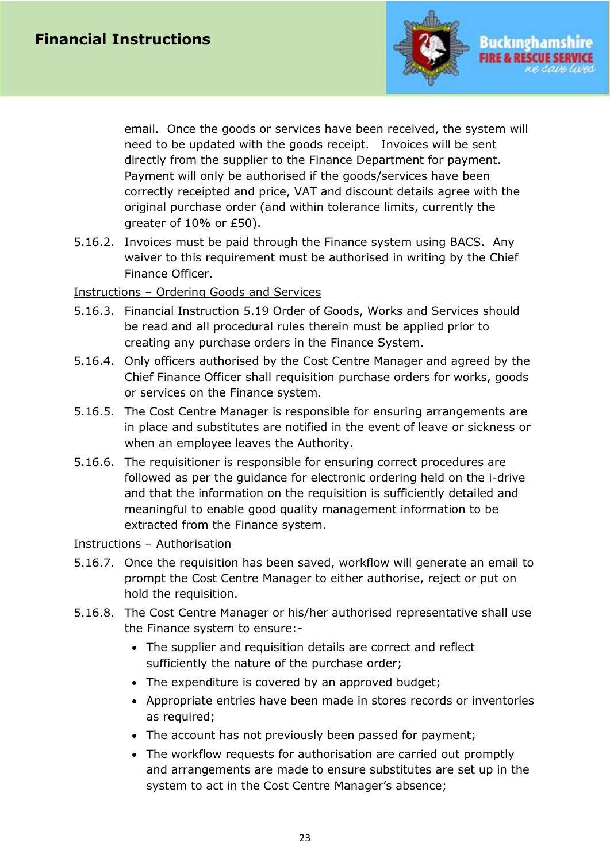

email. Once the goods or services have been received, the system will need to be updated with the goods receipt. Invoices will be sent directly from the supplier to the Finance Department for payment. Payment will only be authorised if the goods/services have been correctly receipted and price, VAT and discount details agree with the original purchase order (and within tolerance limits, currently the greater of 10% or £50).

5.16.2. Invoices must be paid through the Finance system using BACS. Any waiver to this requirement must be authorised in writing by the Chief Finance Officer.

#### Instructions – Ordering Goods and Services

- 5.16.3. Financial Instruction 5.19 Order of Goods, Works and Services should be read and all procedural rules therein must be applied prior to creating any purchase orders in the Finance System.
- 5.16.4. Only officers authorised by the Cost Centre Manager and agreed by the Chief Finance Officer shall requisition purchase orders for works, goods or services on the Finance system.
- 5.16.5. The Cost Centre Manager is responsible for ensuring arrangements are in place and substitutes are notified in the event of leave or sickness or when an employee leaves the Authority.
- 5.16.6. The requisitioner is responsible for ensuring correct procedures are followed as per the guidance for electronic ordering held on the i-drive and that the information on the requisition is sufficiently detailed and meaningful to enable good quality management information to be extracted from the Finance system.

#### Instructions – Authorisation

- 5.16.7. Once the requisition has been saved, workflow will generate an email to prompt the Cost Centre Manager to either authorise, reject or put on hold the requisition.
- 5.16.8. The Cost Centre Manager or his/her authorised representative shall use the Finance system to ensure:-
	- The supplier and requisition details are correct and reflect sufficiently the nature of the purchase order;
	- The expenditure is covered by an approved budget;
	- Appropriate entries have been made in stores records or inventories as required;
	- The account has not previously been passed for payment;
	- The workflow requests for authorisation are carried out promptly and arrangements are made to ensure substitutes are set up in the system to act in the Cost Centre Manager's absence;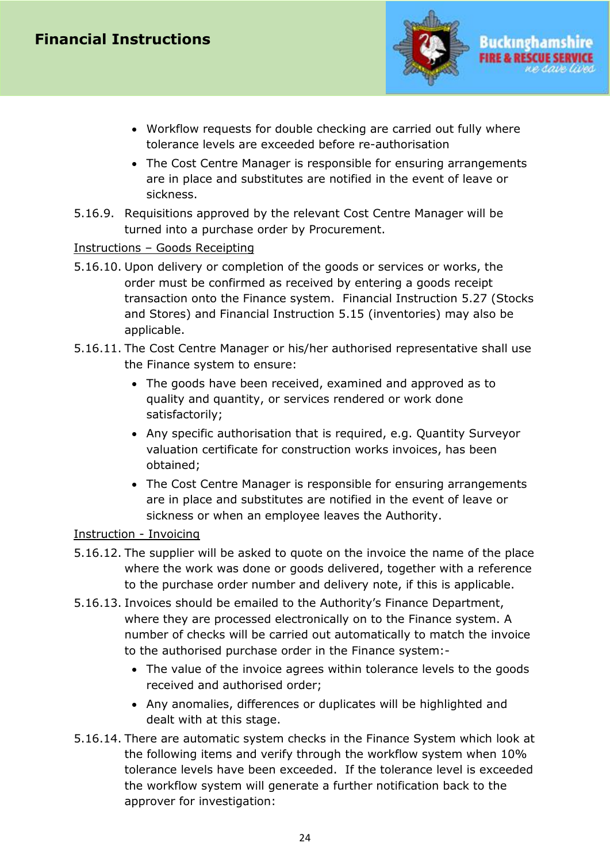# **Financial Instructions**



- Workflow requests for double checking are carried out fully where tolerance levels are exceeded before re-authorisation
- The Cost Centre Manager is responsible for ensuring arrangements are in place and substitutes are notified in the event of leave or sickness.
- 5.16.9. Requisitions approved by the relevant Cost Centre Manager will be turned into a purchase order by Procurement.

#### Instructions – Goods Receipting

- 5.16.10. Upon delivery or completion of the goods or services or works, the order must be confirmed as received by entering a goods receipt transaction onto the Finance system. Financial Instruction 5.27 (Stocks and Stores) and Financial Instruction 5.15 (inventories) may also be applicable.
- 5.16.11. The Cost Centre Manager or his/her authorised representative shall use the Finance system to ensure:
	- The goods have been received, examined and approved as to quality and quantity, or services rendered or work done satisfactorily;
	- Any specific authorisation that is required, e.g. Quantity Surveyor valuation certificate for construction works invoices, has been obtained;
	- The Cost Centre Manager is responsible for ensuring arrangements are in place and substitutes are notified in the event of leave or sickness or when an employee leaves the Authority.

## Instruction - Invoicing

- 5.16.12. The supplier will be asked to quote on the invoice the name of the place where the work was done or goods delivered, together with a reference to the purchase order number and delivery note, if this is applicable.
- 5.16.13. Invoices should be emailed to the Authority's Finance Department, where they are processed electronically on to the Finance system. A number of checks will be carried out automatically to match the invoice to the authorised purchase order in the Finance system:-
	- The value of the invoice agrees within tolerance levels to the goods received and authorised order;
	- Any anomalies, differences or duplicates will be highlighted and dealt with at this stage.
- 5.16.14. There are automatic system checks in the Finance System which look at the following items and verify through the workflow system when 10% tolerance levels have been exceeded. If the tolerance level is exceeded the workflow system will generate a further notification back to the approver for investigation: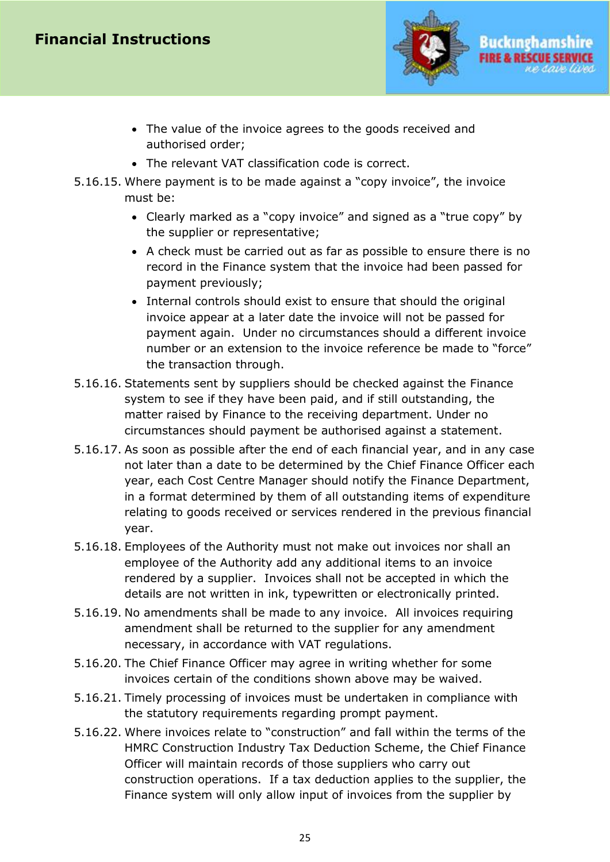# **Financial Instructions**



- The value of the invoice agrees to the goods received and authorised order;
- The relevant VAT classification code is correct.
- 5.16.15. Where payment is to be made against a "copy invoice", the invoice must be:
	- Clearly marked as a "copy invoice" and signed as a "true copy" by the supplier or representative;
	- A check must be carried out as far as possible to ensure there is no record in the Finance system that the invoice had been passed for payment previously;
	- Internal controls should exist to ensure that should the original invoice appear at a later date the invoice will not be passed for payment again. Under no circumstances should a different invoice number or an extension to the invoice reference be made to "force" the transaction through.
- 5.16.16. Statements sent by suppliers should be checked against the Finance system to see if they have been paid, and if still outstanding, the matter raised by Finance to the receiving department. Under no circumstances should payment be authorised against a statement.
- 5.16.17. As soon as possible after the end of each financial year, and in any case not later than a date to be determined by the Chief Finance Officer each year, each Cost Centre Manager should notify the Finance Department, in a format determined by them of all outstanding items of expenditure relating to goods received or services rendered in the previous financial year.
- 5.16.18. Employees of the Authority must not make out invoices nor shall an employee of the Authority add any additional items to an invoice rendered by a supplier. Invoices shall not be accepted in which the details are not written in ink, typewritten or electronically printed.
- 5.16.19. No amendments shall be made to any invoice. All invoices requiring amendment shall be returned to the supplier for any amendment necessary, in accordance with VAT regulations.
- 5.16.20. The Chief Finance Officer may agree in writing whether for some invoices certain of the conditions shown above may be waived.
- 5.16.21. Timely processing of invoices must be undertaken in compliance with the statutory requirements regarding prompt payment.
- 5.16.22. Where invoices relate to "construction" and fall within the terms of the HMRC Construction Industry Tax Deduction Scheme, the Chief Finance Officer will maintain records of those suppliers who carry out construction operations. If a tax deduction applies to the supplier, the Finance system will only allow input of invoices from the supplier by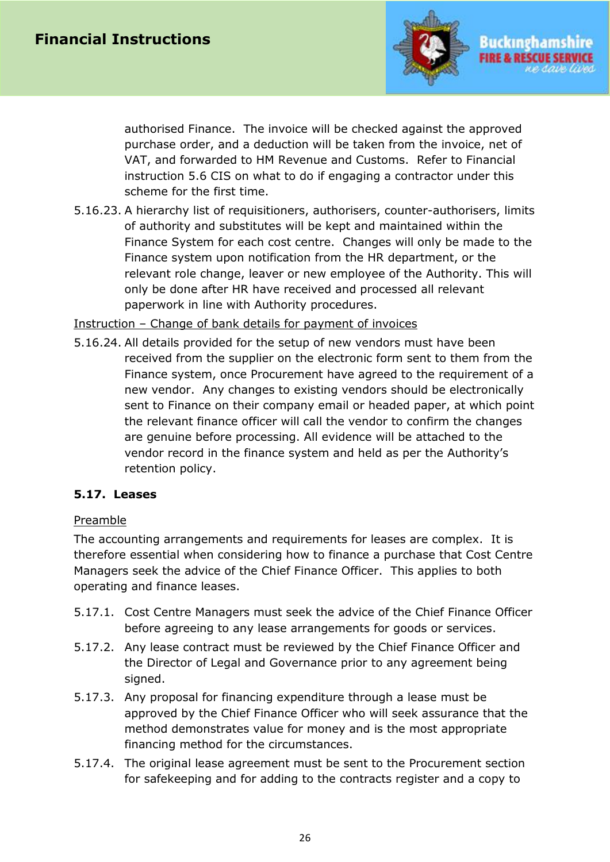

authorised Finance. The invoice will be checked against the approved purchase order, and a deduction will be taken from the invoice, net of VAT, and forwarded to HM Revenue and Customs. Refer to Financial instruction 5.6 CIS on what to do if engaging a contractor under this scheme for the first time.

5.16.23. A hierarchy list of requisitioners, authorisers, counter-authorisers, limits of authority and substitutes will be kept and maintained within the Finance System for each cost centre. Changes will only be made to the Finance system upon notification from the HR department, or the relevant role change, leaver or new employee of the Authority. This will only be done after HR have received and processed all relevant paperwork in line with Authority procedures.

Instruction – Change of bank details for payment of invoices

5.16.24. All details provided for the setup of new vendors must have been received from the supplier on the electronic form sent to them from the Finance system, once Procurement have agreed to the requirement of a new vendor. Any changes to existing vendors should be electronically sent to Finance on their company email or headed paper, at which point the relevant finance officer will call the vendor to confirm the changes are genuine before processing. All evidence will be attached to the vendor record in the finance system and held as per the Authority's retention policy.

#### <span id="page-25-0"></span>**5.17. Leases**

#### Preamble

The accounting arrangements and requirements for leases are complex. It is therefore essential when considering how to finance a purchase that Cost Centre Managers seek the advice of the Chief Finance Officer. This applies to both operating and finance leases.

- 5.17.1. Cost Centre Managers must seek the advice of the Chief Finance Officer before agreeing to any lease arrangements for goods or services.
- 5.17.2. Any lease contract must be reviewed by the Chief Finance Officer and the Director of Legal and Governance prior to any agreement being signed.
- 5.17.3. Any proposal for financing expenditure through a lease must be approved by the Chief Finance Officer who will seek assurance that the method demonstrates value for money and is the most appropriate financing method for the circumstances.
- 5.17.4. The original lease agreement must be sent to the Procurement section for safekeeping and for adding to the contracts register and a copy to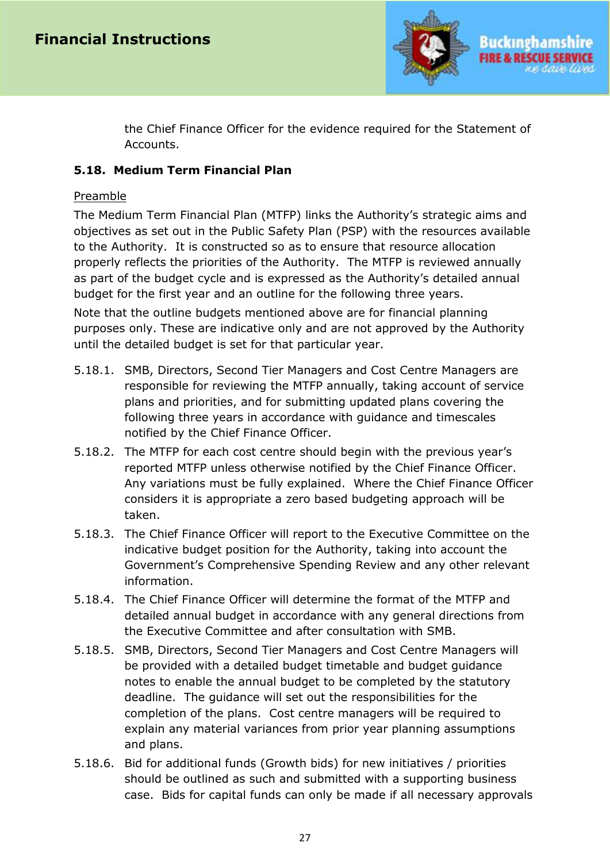

the Chief Finance Officer for the evidence required for the Statement of Accounts.

#### <span id="page-26-0"></span>**5.18. Medium Term Financial Plan**

#### Preamble

The Medium Term Financial Plan (MTFP) links the Authority's strategic aims and objectives as set out in the Public Safety Plan (PSP) with the resources available to the Authority. It is constructed so as to ensure that resource allocation properly reflects the priorities of the Authority. The MTFP is reviewed annually as part of the budget cycle and is expressed as the Authority's detailed annual budget for the first year and an outline for the following three years.

Note that the outline budgets mentioned above are for financial planning purposes only. These are indicative only and are not approved by the Authority until the detailed budget is set for that particular year.

- 5.18.1. SMB, Directors, Second Tier Managers and Cost Centre Managers are responsible for reviewing the MTFP annually, taking account of service plans and priorities, and for submitting updated plans covering the following three years in accordance with guidance and timescales notified by the Chief Finance Officer.
- 5.18.2. The MTFP for each cost centre should begin with the previous year's reported MTFP unless otherwise notified by the Chief Finance Officer. Any variations must be fully explained. Where the Chief Finance Officer considers it is appropriate a zero based budgeting approach will be taken.
- 5.18.3. The Chief Finance Officer will report to the Executive Committee on the indicative budget position for the Authority, taking into account the Government's Comprehensive Spending Review and any other relevant information.
- 5.18.4. The Chief Finance Officer will determine the format of the MTFP and detailed annual budget in accordance with any general directions from the Executive Committee and after consultation with SMB.
- 5.18.5. SMB, Directors, Second Tier Managers and Cost Centre Managers will be provided with a detailed budget timetable and budget guidance notes to enable the annual budget to be completed by the statutory deadline. The guidance will set out the responsibilities for the completion of the plans. Cost centre managers will be required to explain any material variances from prior year planning assumptions and plans.
- 5.18.6. Bid for additional funds (Growth bids) for new initiatives / priorities should be outlined as such and submitted with a supporting business case. Bids for capital funds can only be made if all necessary approvals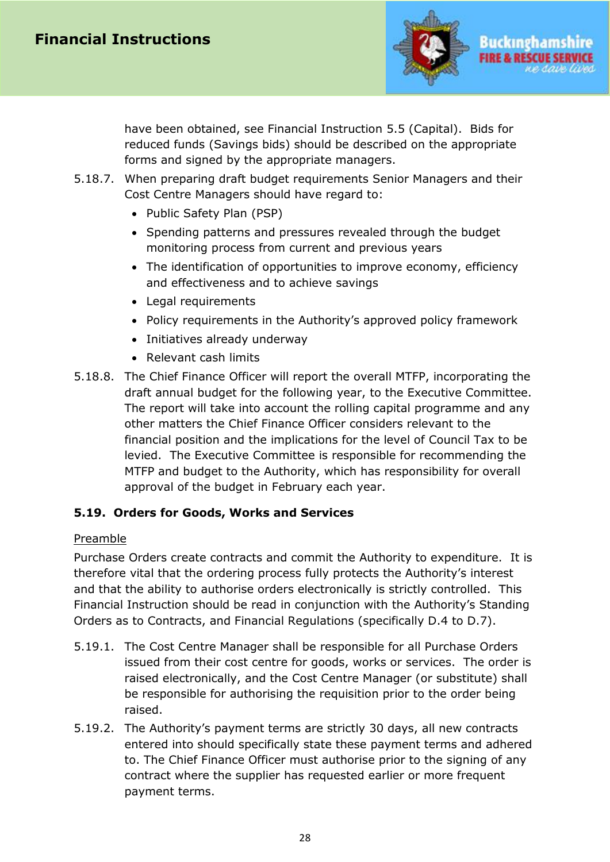

have been obtained, see Financial Instruction 5.5 (Capital). Bids for reduced funds (Savings bids) should be described on the appropriate forms and signed by the appropriate managers.

- 5.18.7. When preparing draft budget requirements Senior Managers and their Cost Centre Managers should have regard to:
	- Public Safety Plan (PSP)
	- Spending patterns and pressures revealed through the budget monitoring process from current and previous years
	- The identification of opportunities to improve economy, efficiency and effectiveness and to achieve savings
	- Legal requirements
	- Policy requirements in the Authority's approved policy framework
	- Initiatives already underway
	- Relevant cash limits
- 5.18.8. The Chief Finance Officer will report the overall MTFP, incorporating the draft annual budget for the following year, to the Executive Committee. The report will take into account the rolling capital programme and any other matters the Chief Finance Officer considers relevant to the financial position and the implications for the level of Council Tax to be levied. The Executive Committee is responsible for recommending the MTFP and budget to the Authority, which has responsibility for overall approval of the budget in February each year.

#### <span id="page-27-0"></span>**5.19. Orders for Goods, Works and Services**

#### Preamble

Purchase Orders create contracts and commit the Authority to expenditure. It is therefore vital that the ordering process fully protects the Authority's interest and that the ability to authorise orders electronically is strictly controlled. This Financial Instruction should be read in conjunction with the Authority's Standing Orders as to Contracts, and Financial Regulations (specifically D.4 to D.7).

- 5.19.1. The Cost Centre Manager shall be responsible for all Purchase Orders issued from their cost centre for goods, works or services. The order is raised electronically, and the Cost Centre Manager (or substitute) shall be responsible for authorising the requisition prior to the order being raised.
- 5.19.2. The Authority's payment terms are strictly 30 days, all new contracts entered into should specifically state these payment terms and adhered to. The Chief Finance Officer must authorise prior to the signing of any contract where the supplier has requested earlier or more frequent payment terms.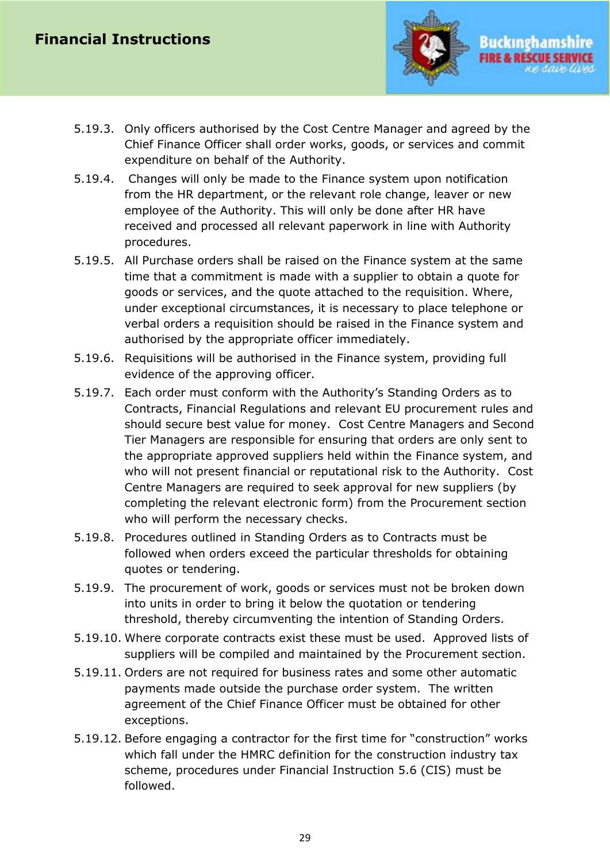

- 5.19.3. Only officers authorised by the Cost Centre Manager and agreed by the Chief Finance Officer shall order works, goods, or services and commit expenditure on behalf of the Authority.
- 5.19.4. Changes will only be made to the Finance system upon notification from the HR department, or the relevant role change, leaver or new employee of the Authority. This will only be done after HR have received and processed all relevant paperwork in line with Authority procedures.
- 5.19.5. All Purchase orders shall be raised on the Finance system at the same time that a commitment is made with a supplier to obtain a quote for goods or services, and the quote attached to the requisition. Where, under exceptional circumstances, it is necessary to place telephone or verbal orders a requisition should be raised in the Finance system and authorised by the appropriate officer immediately.
- 5.19.6. Requisitions will be authorised in the Finance system, providing full evidence of the approving officer.
- 5.19.7. Each order must conform with the Authority's Standing Orders as to Contracts, Financial Regulations and relevant EU procurement rules and should secure best value for money. Cost Centre Managers and Second Tier Managers are responsible for ensuring that orders are only sent to the appropriate approved suppliers held within the Finance system, and who will not present financial or reputational risk to the Authority. Cost Centre Managers are required to seek approval for new suppliers (by completing the relevant electronic form) from the Procurement section who will perform the necessary checks.
- 5.19.8. Procedures outlined in Standing Orders as to Contracts must be followed when orders exceed the particular thresholds for obtaining quotes or tendering.
- 5.19.9. The procurement of work, goods or services must not be broken down into units in order to bring it below the quotation or tendering threshold, thereby circumventing the intention of Standing Orders.
- 5.19.10. Where corporate contracts exist these must be used. Approved lists of suppliers will be compiled and maintained by the Procurement section.
- 5.19.11. Orders are not required for business rates and some other automatic payments made outside the purchase order system. The written agreement of the Chief Finance Officer must be obtained for other exceptions.
- 5.19.12. Before engaging a contractor for the first time for "construction" works which fall under the HMRC definition for the construction industry tax scheme, procedures under Financial Instruction 5.6 (CIS) must be followed.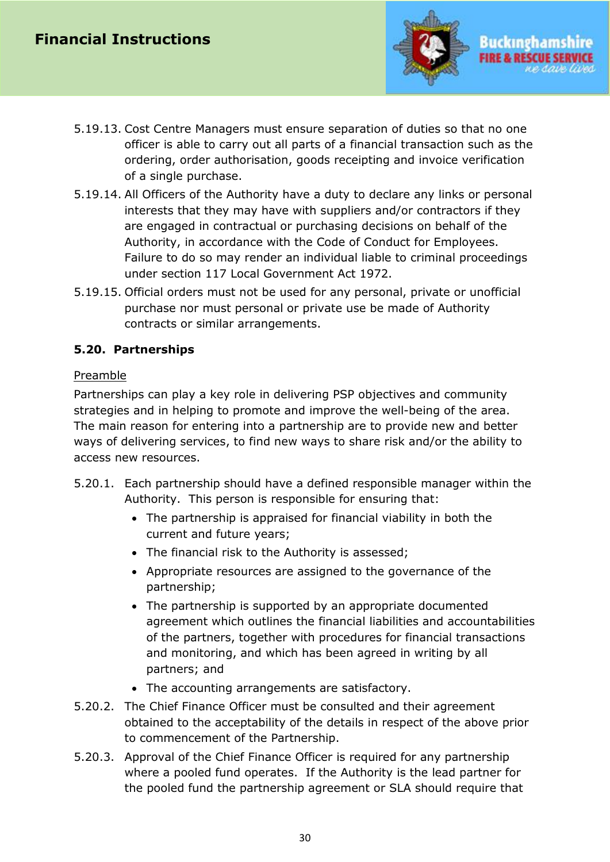

- 5.19.13. Cost Centre Managers must ensure separation of duties so that no one officer is able to carry out all parts of a financial transaction such as the ordering, order authorisation, goods receipting and invoice verification of a single purchase.
- 5.19.14. All Officers of the Authority have a duty to declare any links or personal interests that they may have with suppliers and/or contractors if they are engaged in contractual or purchasing decisions on behalf of the Authority, in accordance with the Code of Conduct for Employees. Failure to do so may render an individual liable to criminal proceedings under section 117 Local Government Act 1972.
- 5.19.15. Official orders must not be used for any personal, private or unofficial purchase nor must personal or private use be made of Authority contracts or similar arrangements.

#### <span id="page-29-0"></span>**5.20. Partnerships**

#### Preamble

Partnerships can play a key role in delivering PSP objectives and community strategies and in helping to promote and improve the well-being of the area. The main reason for entering into a partnership are to provide new and better ways of delivering services, to find new ways to share risk and/or the ability to access new resources.

- 5.20.1. Each partnership should have a defined responsible manager within the Authority. This person is responsible for ensuring that:
	- The partnership is appraised for financial viability in both the current and future years;
	- The financial risk to the Authority is assessed;
	- Appropriate resources are assigned to the governance of the partnership;
	- The partnership is supported by an appropriate documented agreement which outlines the financial liabilities and accountabilities of the partners, together with procedures for financial transactions and monitoring, and which has been agreed in writing by all partners; and
	- The accounting arrangements are satisfactory.
- 5.20.2. The Chief Finance Officer must be consulted and their agreement obtained to the acceptability of the details in respect of the above prior to commencement of the Partnership.
- 5.20.3. Approval of the Chief Finance Officer is required for any partnership where a pooled fund operates. If the Authority is the lead partner for the pooled fund the partnership agreement or SLA should require that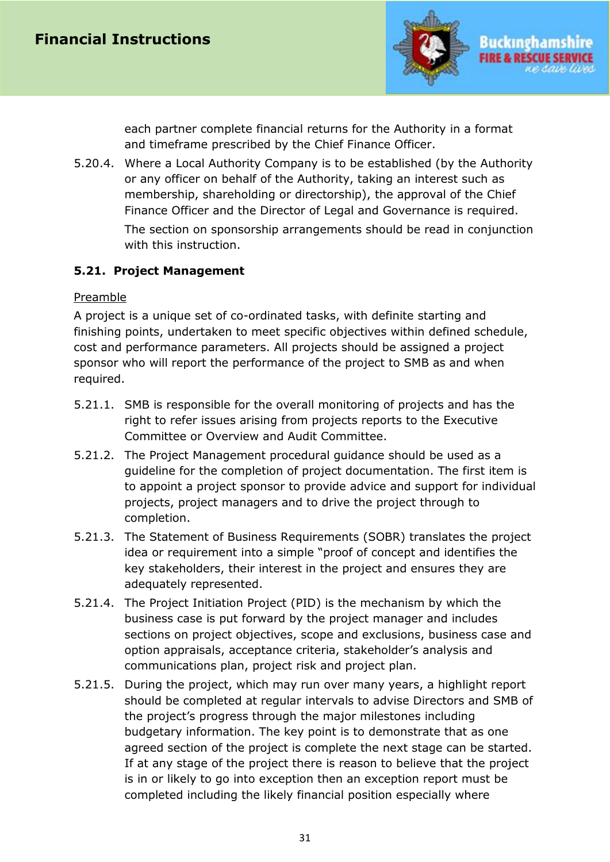

each partner complete financial returns for the Authority in a format and timeframe prescribed by the Chief Finance Officer.

5.20.4. Where a Local Authority Company is to be established (by the Authority or any officer on behalf of the Authority, taking an interest such as membership, shareholding or directorship), the approval of the Chief Finance Officer and the Director of Legal and Governance is required. The section on sponsorship arrangements should be read in conjunction

with this instruction.

## <span id="page-30-0"></span>**5.21. Project Management**

#### **Preamble**

A project is a unique set of co-ordinated tasks, with definite starting and finishing points, undertaken to meet specific objectives within defined schedule, cost and performance parameters. All projects should be assigned a project sponsor who will report the performance of the project to SMB as and when required.

- 5.21.1. SMB is responsible for the overall monitoring of projects and has the right to refer issues arising from projects reports to the Executive Committee or Overview and Audit Committee.
- 5.21.2. The Project Management procedural guidance should be used as a guideline for the completion of project documentation. The first item is to appoint a project sponsor to provide advice and support for individual projects, project managers and to drive the project through to completion.
- 5.21.3. The Statement of Business Requirements (SOBR) translates the project idea or requirement into a simple "proof of concept and identifies the key stakeholders, their interest in the project and ensures they are adequately represented.
- 5.21.4. The Project Initiation Project (PID) is the mechanism by which the business case is put forward by the project manager and includes sections on project objectives, scope and exclusions, business case and option appraisals, acceptance criteria, stakeholder's analysis and communications plan, project risk and project plan.
- 5.21.5. During the project, which may run over many years, a highlight report should be completed at regular intervals to advise Directors and SMB of the project's progress through the major milestones including budgetary information. The key point is to demonstrate that as one agreed section of the project is complete the next stage can be started. If at any stage of the project there is reason to believe that the project is in or likely to go into exception then an exception report must be completed including the likely financial position especially where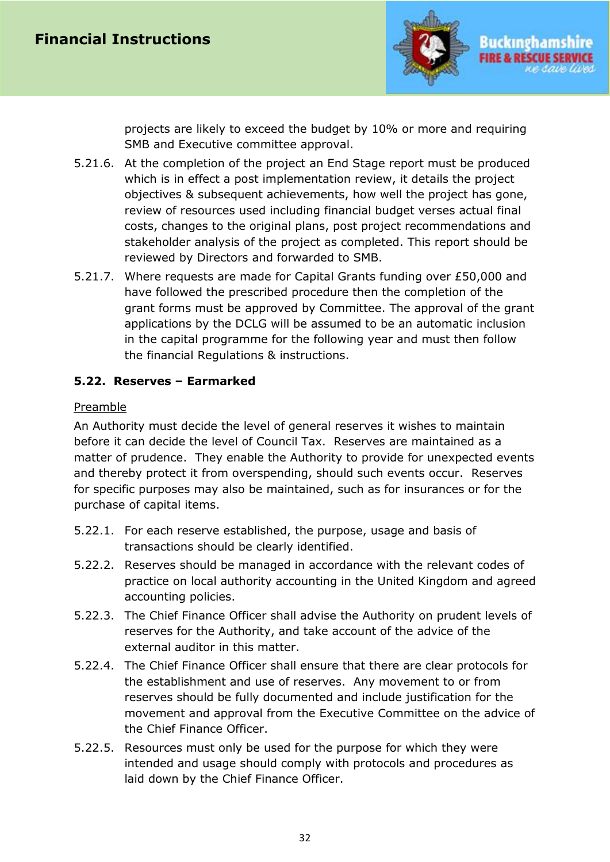

projects are likely to exceed the budget by 10% or more and requiring SMB and Executive committee approval.

- 5.21.6. At the completion of the project an End Stage report must be produced which is in effect a post implementation review, it details the project objectives & subsequent achievements, how well the project has gone, review of resources used including financial budget verses actual final costs, changes to the original plans, post project recommendations and stakeholder analysis of the project as completed. This report should be reviewed by Directors and forwarded to SMB.
- 5.21.7. Where requests are made for Capital Grants funding over £50,000 and have followed the prescribed procedure then the completion of the grant forms must be approved by Committee. The approval of the grant applications by the DCLG will be assumed to be an automatic inclusion in the capital programme for the following year and must then follow the financial Regulations & instructions.

## <span id="page-31-0"></span>**5.22. Reserves – Earmarked**

#### Preamble

An Authority must decide the level of general reserves it wishes to maintain before it can decide the level of Council Tax. Reserves are maintained as a matter of prudence. They enable the Authority to provide for unexpected events and thereby protect it from overspending, should such events occur. Reserves for specific purposes may also be maintained, such as for insurances or for the purchase of capital items.

- 5.22.1. For each reserve established, the purpose, usage and basis of transactions should be clearly identified.
- 5.22.2. Reserves should be managed in accordance with the relevant codes of practice on local authority accounting in the United Kingdom and agreed accounting policies.
- 5.22.3. The Chief Finance Officer shall advise the Authority on prudent levels of reserves for the Authority, and take account of the advice of the external auditor in this matter.
- 5.22.4. The Chief Finance Officer shall ensure that there are clear protocols for the establishment and use of reserves. Any movement to or from reserves should be fully documented and include justification for the movement and approval from the Executive Committee on the advice of the Chief Finance Officer.
- 5.22.5. Resources must only be used for the purpose for which they were intended and usage should comply with protocols and procedures as laid down by the Chief Finance Officer.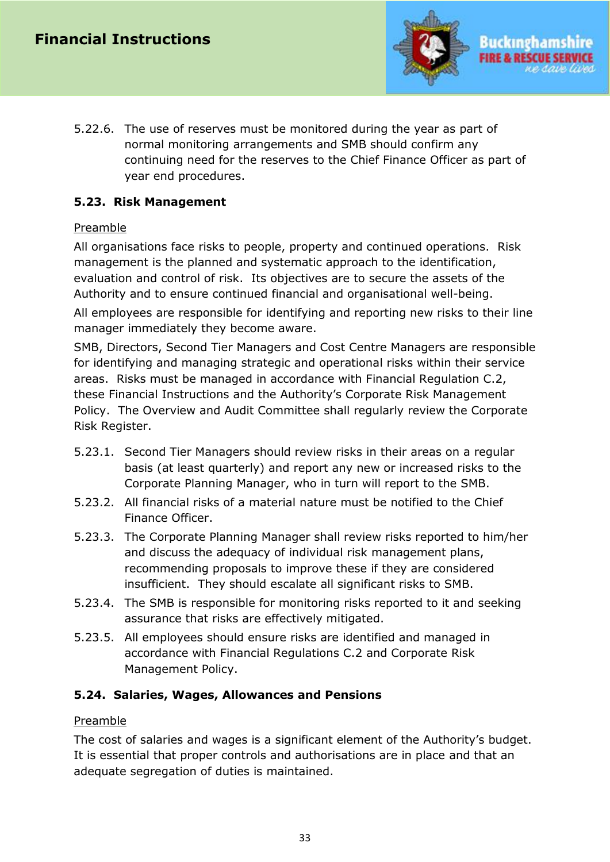

5.22.6. The use of reserves must be monitored during the year as part of normal monitoring arrangements and SMB should confirm any continuing need for the reserves to the Chief Finance Officer as part of year end procedures.

#### <span id="page-32-0"></span>**5.23. Risk Management**

#### Preamble

All organisations face risks to people, property and continued operations. Risk management is the planned and systematic approach to the identification, evaluation and control of risk. Its objectives are to secure the assets of the Authority and to ensure continued financial and organisational well-being.

All employees are responsible for identifying and reporting new risks to their line manager immediately they become aware.

SMB, Directors, Second Tier Managers and Cost Centre Managers are responsible for identifying and managing strategic and operational risks within their service areas. Risks must be managed in accordance with Financial Regulation C.2, these Financial Instructions and the Authority's Corporate Risk Management Policy. The Overview and Audit Committee shall regularly review the Corporate Risk Register.

- 5.23.1. Second Tier Managers should review risks in their areas on a regular basis (at least quarterly) and report any new or increased risks to the Corporate Planning Manager, who in turn will report to the SMB.
- 5.23.2. All financial risks of a material nature must be notified to the Chief Finance Officer.
- 5.23.3. The Corporate Planning Manager shall review risks reported to him/her and discuss the adequacy of individual risk management plans, recommending proposals to improve these if they are considered insufficient. They should escalate all significant risks to SMB.
- 5.23.4. The SMB is responsible for monitoring risks reported to it and seeking assurance that risks are effectively mitigated.
- 5.23.5. All employees should ensure risks are identified and managed in accordance with Financial Regulations C.2 and Corporate Risk Management Policy.

## <span id="page-32-1"></span>**5.24. Salaries, Wages, Allowances and Pensions**

#### **Preamble**

The cost of salaries and wages is a significant element of the Authority's budget. It is essential that proper controls and authorisations are in place and that an adequate segregation of duties is maintained.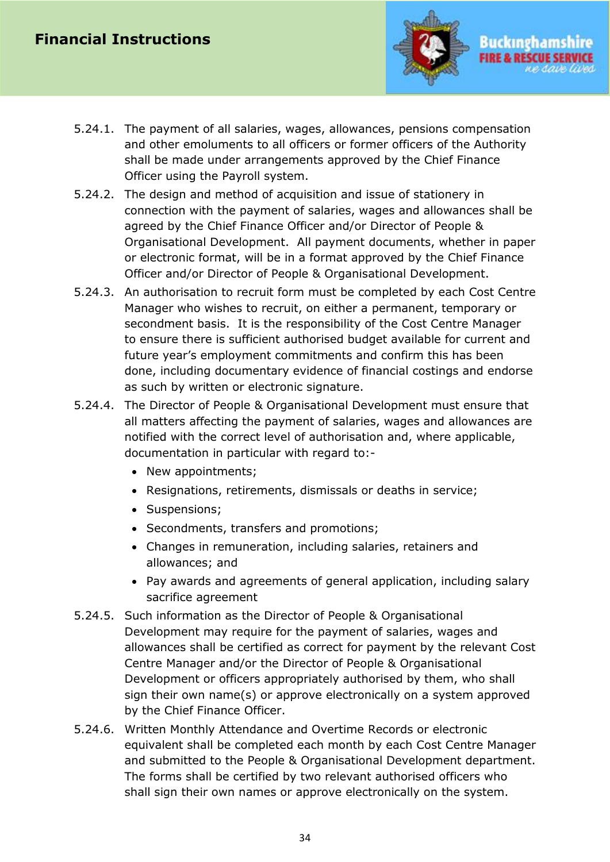

- 5.24.1. The payment of all salaries, wages, allowances, pensions compensation and other emoluments to all officers or former officers of the Authority shall be made under arrangements approved by the Chief Finance Officer using the Payroll system.
- 5.24.2. The design and method of acquisition and issue of stationery in connection with the payment of salaries, wages and allowances shall be agreed by the Chief Finance Officer and/or Director of People & Organisational Development. All payment documents, whether in paper or electronic format, will be in a format approved by the Chief Finance Officer and/or Director of People & Organisational Development.
- 5.24.3. An authorisation to recruit form must be completed by each Cost Centre Manager who wishes to recruit, on either a permanent, temporary or secondment basis. It is the responsibility of the Cost Centre Manager to ensure there is sufficient authorised budget available for current and future year's employment commitments and confirm this has been done, including documentary evidence of financial costings and endorse as such by written or electronic signature.
- 5.24.4. The Director of People & Organisational Development must ensure that all matters affecting the payment of salaries, wages and allowances are notified with the correct level of authorisation and, where applicable, documentation in particular with regard to:-
	- New appointments;
	- Resignations, retirements, dismissals or deaths in service;
	- Suspensions;
	- Secondments, transfers and promotions;
	- Changes in remuneration, including salaries, retainers and allowances; and
	- Pay awards and agreements of general application, including salary sacrifice agreement
- 5.24.5. Such information as the Director of People & Organisational Development may require for the payment of salaries, wages and allowances shall be certified as correct for payment by the relevant Cost Centre Manager and/or the Director of People & Organisational Development or officers appropriately authorised by them, who shall sign their own name(s) or approve electronically on a system approved by the Chief Finance Officer.
- 5.24.6. Written Monthly Attendance and Overtime Records or electronic equivalent shall be completed each month by each Cost Centre Manager and submitted to the People & Organisational Development department. The forms shall be certified by two relevant authorised officers who shall sign their own names or approve electronically on the system.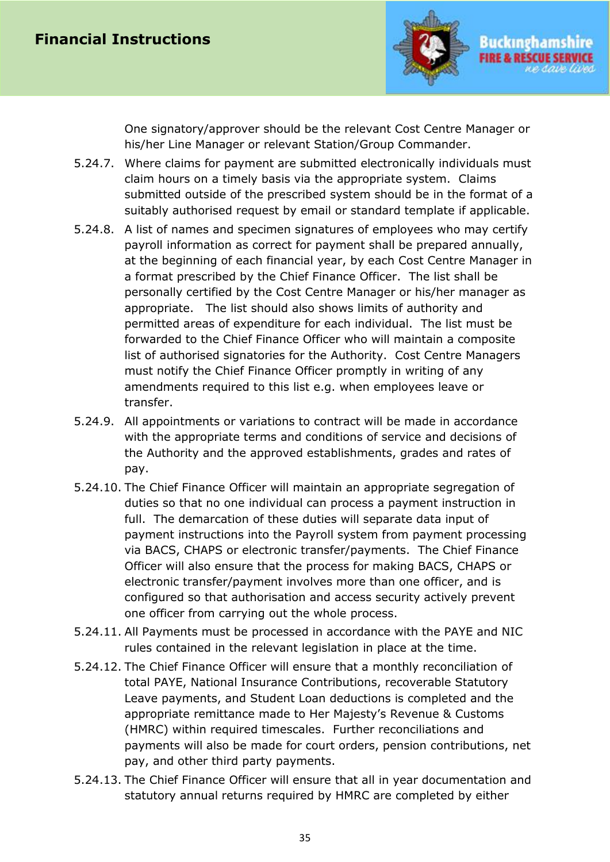

One signatory/approver should be the relevant Cost Centre Manager or his/her Line Manager or relevant Station/Group Commander.

- 5.24.7. Where claims for payment are submitted electronically individuals must claim hours on a timely basis via the appropriate system. Claims submitted outside of the prescribed system should be in the format of a suitably authorised request by email or standard template if applicable.
- 5.24.8. A list of names and specimen signatures of employees who may certify payroll information as correct for payment shall be prepared annually, at the beginning of each financial year, by each Cost Centre Manager in a format prescribed by the Chief Finance Officer. The list shall be personally certified by the Cost Centre Manager or his/her manager as appropriate. The list should also shows limits of authority and permitted areas of expenditure for each individual. The list must be forwarded to the Chief Finance Officer who will maintain a composite list of authorised signatories for the Authority. Cost Centre Managers must notify the Chief Finance Officer promptly in writing of any amendments required to this list e.g. when employees leave or transfer.
- 5.24.9. All appointments or variations to contract will be made in accordance with the appropriate terms and conditions of service and decisions of the Authority and the approved establishments, grades and rates of pay.
- 5.24.10. The Chief Finance Officer will maintain an appropriate segregation of duties so that no one individual can process a payment instruction in full. The demarcation of these duties will separate data input of payment instructions into the Payroll system from payment processing via BACS, CHAPS or electronic transfer/payments. The Chief Finance Officer will also ensure that the process for making BACS, CHAPS or electronic transfer/payment involves more than one officer, and is configured so that authorisation and access security actively prevent one officer from carrying out the whole process.
- 5.24.11. All Payments must be processed in accordance with the PAYE and NIC rules contained in the relevant legislation in place at the time.
- 5.24.12. The Chief Finance Officer will ensure that a monthly reconciliation of total PAYE, National Insurance Contributions, recoverable Statutory Leave payments, and Student Loan deductions is completed and the appropriate remittance made to Her Majesty's Revenue & Customs (HMRC) within required timescales. Further reconciliations and payments will also be made for court orders, pension contributions, net pay, and other third party payments.
- 5.24.13. The Chief Finance Officer will ensure that all in year documentation and statutory annual returns required by HMRC are completed by either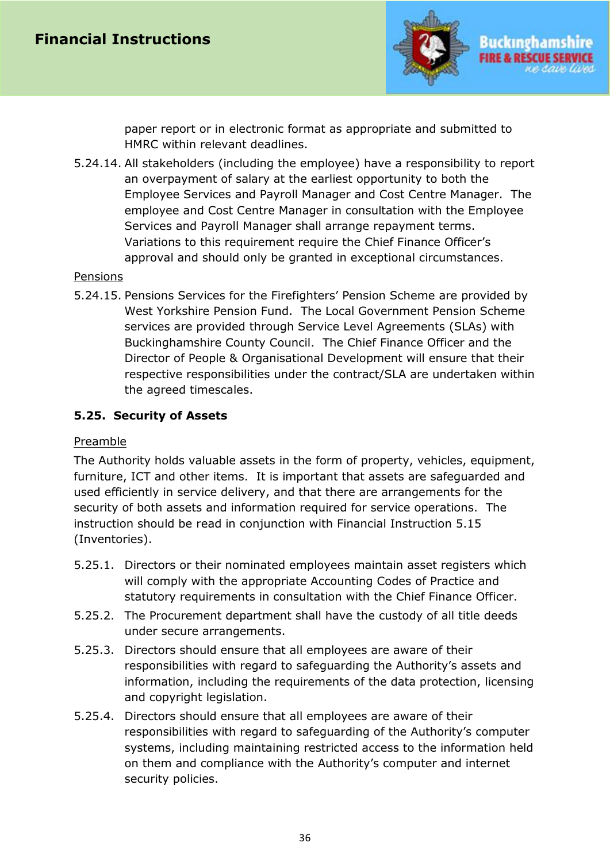

paper report or in electronic format as appropriate and submitted to HMRC within relevant deadlines.

5.24.14. All stakeholders (including the employee) have a responsibility to report an overpayment of salary at the earliest opportunity to both the Employee Services and Payroll Manager and Cost Centre Manager. The employee and Cost Centre Manager in consultation with the Employee Services and Payroll Manager shall arrange repayment terms. Variations to this requirement require the Chief Finance Officer's approval and should only be granted in exceptional circumstances.

#### Pensions

5.24.15. Pensions Services for the Firefighters' Pension Scheme are provided by West Yorkshire Pension Fund. The Local Government Pension Scheme services are provided through Service Level Agreements (SLAs) with Buckinghamshire County Council. The Chief Finance Officer and the Director of People & Organisational Development will ensure that their respective responsibilities under the contract/SLA are undertaken within the agreed timescales.

## <span id="page-35-0"></span>**5.25. Security of Assets**

#### Preamble

The Authority holds valuable assets in the form of property, vehicles, equipment, furniture, ICT and other items. It is important that assets are safeguarded and used efficiently in service delivery, and that there are arrangements for the security of both assets and information required for service operations. The instruction should be read in conjunction with Financial Instruction 5.15 (Inventories).

- 5.25.1. Directors or their nominated employees maintain asset registers which will comply with the appropriate Accounting Codes of Practice and statutory requirements in consultation with the Chief Finance Officer.
- 5.25.2. The Procurement department shall have the custody of all title deeds under secure arrangements.
- 5.25.3. Directors should ensure that all employees are aware of their responsibilities with regard to safeguarding the Authority's assets and information, including the requirements of the data protection, licensing and copyright legislation.
- 5.25.4. Directors should ensure that all employees are aware of their responsibilities with regard to safeguarding of the Authority's computer systems, including maintaining restricted access to the information held on them and compliance with the Authority's computer and internet security policies.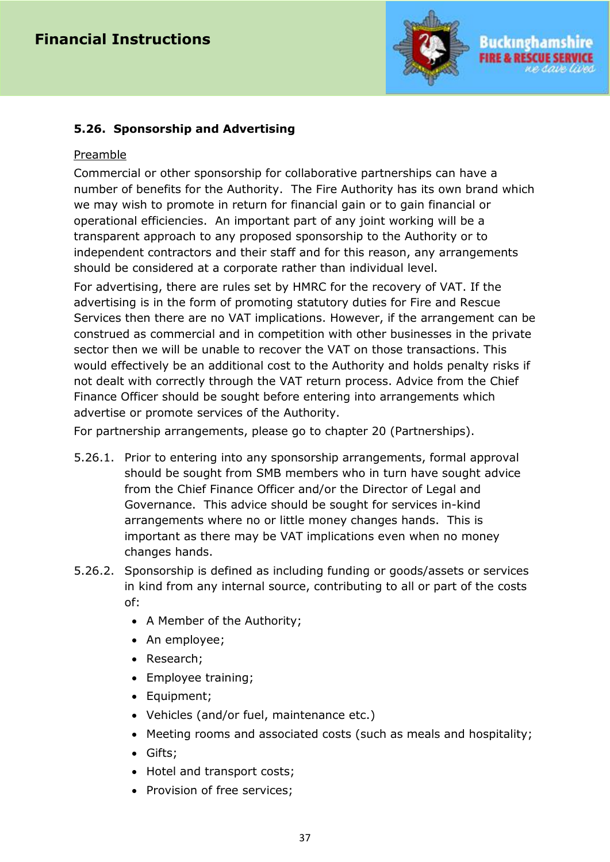

## <span id="page-36-0"></span>**5.26. Sponsorship and Advertising**

#### Preamble

Commercial or other sponsorship for collaborative partnerships can have a number of benefits for the Authority. The Fire Authority has its own brand which we may wish to promote in return for financial gain or to gain financial or operational efficiencies. An important part of any joint working will be a transparent approach to any proposed sponsorship to the Authority or to independent contractors and their staff and for this reason, any arrangements should be considered at a corporate rather than individual level.

For advertising, there are rules set by HMRC for the recovery of VAT. If the advertising is in the form of promoting statutory duties for Fire and Rescue Services then there are no VAT implications. However, if the arrangement can be construed as commercial and in competition with other businesses in the private sector then we will be unable to recover the VAT on those transactions. This would effectively be an additional cost to the Authority and holds penalty risks if not dealt with correctly through the VAT return process. Advice from the Chief Finance Officer should be sought before entering into arrangements which advertise or promote services of the Authority.

For partnership arrangements, please go to chapter 20 (Partnerships).

- 5.26.1. Prior to entering into any sponsorship arrangements, formal approval should be sought from SMB members who in turn have sought advice from the Chief Finance Officer and/or the Director of Legal and Governance. This advice should be sought for services in-kind arrangements where no or little money changes hands. This is important as there may be VAT implications even when no money changes hands.
- 5.26.2. Sponsorship is defined as including funding or goods/assets or services in kind from any internal source, contributing to all or part of the costs of:
	- A Member of the Authority;
	- An employee;
	- Research;
	- Employee training;
	- Equipment;
	- Vehicles (and/or fuel, maintenance etc.)
	- Meeting rooms and associated costs (such as meals and hospitality;
	- Gifts;
	- Hotel and transport costs;
	- Provision of free services;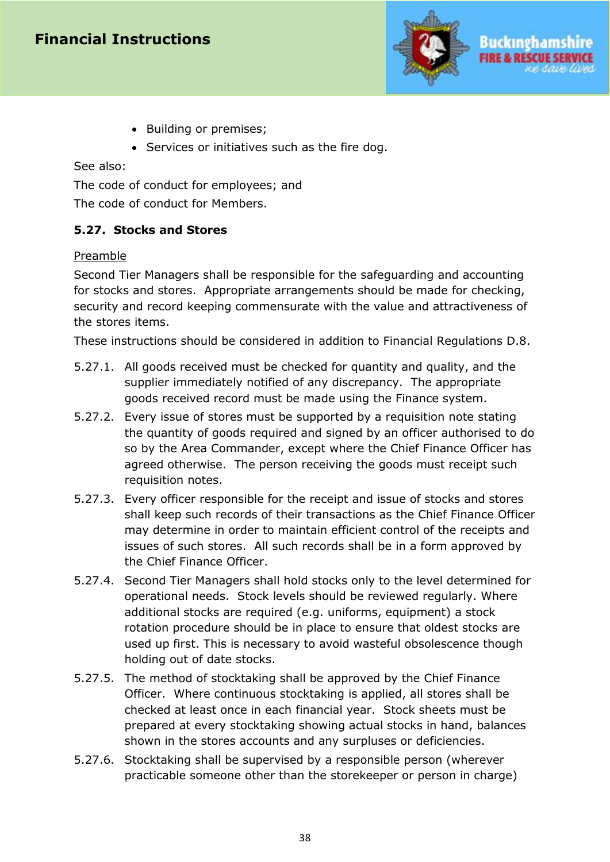

- Building or premises;
- Services or initiatives such as the fire dog.

See also:

The code of conduct for employees; and The code of conduct for Members.

#### <span id="page-37-0"></span>**5.27. Stocks and Stores**

#### Preamble

Second Tier Managers shall be responsible for the safeguarding and accounting for stocks and stores. Appropriate arrangements should be made for checking, security and record keeping commensurate with the value and attractiveness of the stores items.

These instructions should be considered in addition to Financial Regulations D.8.

- 5.27.1. All goods received must be checked for quantity and quality, and the supplier immediately notified of any discrepancy. The appropriate goods received record must be made using the Finance system.
- 5.27.2. Every issue of stores must be supported by a requisition note stating the quantity of goods required and signed by an officer authorised to do so by the Area Commander, except where the Chief Finance Officer has agreed otherwise. The person receiving the goods must receipt such requisition notes.
- 5.27.3. Every officer responsible for the receipt and issue of stocks and stores shall keep such records of their transactions as the Chief Finance Officer may determine in order to maintain efficient control of the receipts and issues of such stores. All such records shall be in a form approved by the Chief Finance Officer.
- 5.27.4. Second Tier Managers shall hold stocks only to the level determined for operational needs. Stock levels should be reviewed regularly. Where additional stocks are required (e.g. uniforms, equipment) a stock rotation procedure should be in place to ensure that oldest stocks are used up first. This is necessary to avoid wasteful obsolescence though holding out of date stocks.
- 5.27.5. The method of stocktaking shall be approved by the Chief Finance Officer. Where continuous stocktaking is applied, all stores shall be checked at least once in each financial year. Stock sheets must be prepared at every stocktaking showing actual stocks in hand, balances shown in the stores accounts and any surpluses or deficiencies.
- 5.27.6. Stocktaking shall be supervised by a responsible person (wherever practicable someone other than the storekeeper or person in charge)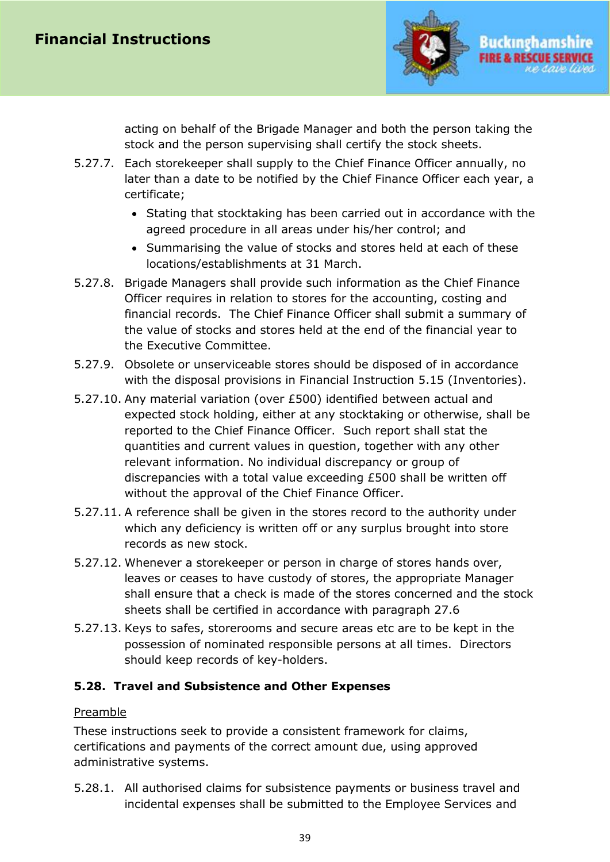

acting on behalf of the Brigade Manager and both the person taking the stock and the person supervising shall certify the stock sheets.

- 5.27.7. Each storekeeper shall supply to the Chief Finance Officer annually, no later than a date to be notified by the Chief Finance Officer each year, a certificate;
	- Stating that stocktaking has been carried out in accordance with the agreed procedure in all areas under his/her control; and
	- Summarising the value of stocks and stores held at each of these locations/establishments at 31 March.
- 5.27.8. Brigade Managers shall provide such information as the Chief Finance Officer requires in relation to stores for the accounting, costing and financial records. The Chief Finance Officer shall submit a summary of the value of stocks and stores held at the end of the financial year to the Executive Committee.
- 5.27.9. Obsolete or unserviceable stores should be disposed of in accordance with the disposal provisions in Financial Instruction 5.15 (Inventories).
- 5.27.10. Any material variation (over £500) identified between actual and expected stock holding, either at any stocktaking or otherwise, shall be reported to the Chief Finance Officer. Such report shall stat the quantities and current values in question, together with any other relevant information. No individual discrepancy or group of discrepancies with a total value exceeding £500 shall be written off without the approval of the Chief Finance Officer.
- 5.27.11. A reference shall be given in the stores record to the authority under which any deficiency is written off or any surplus brought into store records as new stock.
- 5.27.12. Whenever a storekeeper or person in charge of stores hands over, leaves or ceases to have custody of stores, the appropriate Manager shall ensure that a check is made of the stores concerned and the stock sheets shall be certified in accordance with paragraph 27.6
- 5.27.13. Keys to safes, storerooms and secure areas etc are to be kept in the possession of nominated responsible persons at all times. Directors should keep records of key-holders.

## <span id="page-38-0"></span>**5.28. Travel and Subsistence and Other Expenses**

## Preamble

These instructions seek to provide a consistent framework for claims, certifications and payments of the correct amount due, using approved administrative systems.

5.28.1. All authorised claims for subsistence payments or business travel and incidental expenses shall be submitted to the Employee Services and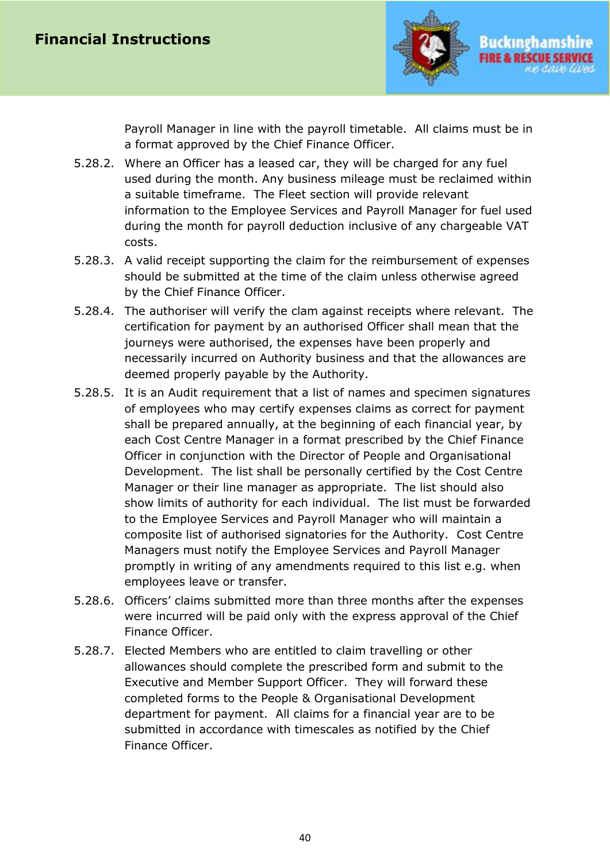

Payroll Manager in line with the payroll timetable. All claims must be in a format approved by the Chief Finance Officer.

- 5.28.2. Where an Officer has a leased car, they will be charged for any fuel used during the month. Any business mileage must be reclaimed within a suitable timeframe. The Fleet section will provide relevant information to the Employee Services and Payroll Manager for fuel used during the month for payroll deduction inclusive of any chargeable VAT costs.
- 5.28.3. A valid receipt supporting the claim for the reimbursement of expenses should be submitted at the time of the claim unless otherwise agreed by the Chief Finance Officer.
- 5.28.4. The authoriser will verify the clam against receipts where relevant. The certification for payment by an authorised Officer shall mean that the journeys were authorised, the expenses have been properly and necessarily incurred on Authority business and that the allowances are deemed properly payable by the Authority.
- 5.28.5. It is an Audit requirement that a list of names and specimen signatures of employees who may certify expenses claims as correct for payment shall be prepared annually, at the beginning of each financial year, by each Cost Centre Manager in a format prescribed by the Chief Finance Officer in conjunction with the Director of People and Organisational Development. The list shall be personally certified by the Cost Centre Manager or their line manager as appropriate. The list should also show limits of authority for each individual. The list must be forwarded to the Employee Services and Payroll Manager who will maintain a composite list of authorised signatories for the Authority. Cost Centre Managers must notify the Employee Services and Payroll Manager promptly in writing of any amendments required to this list e.g. when employees leave or transfer.
- 5.28.6. Officers' claims submitted more than three months after the expenses were incurred will be paid only with the express approval of the Chief Finance Officer.
- <span id="page-39-0"></span>5.28.7. Elected Members who are entitled to claim travelling or other allowances should complete the prescribed form and submit to the Executive and Member Support Officer. They will forward these completed forms to the People & Organisational Development department for payment. All claims for a financial year are to be submitted in accordance with timescales as notified by the Chief Finance Officer.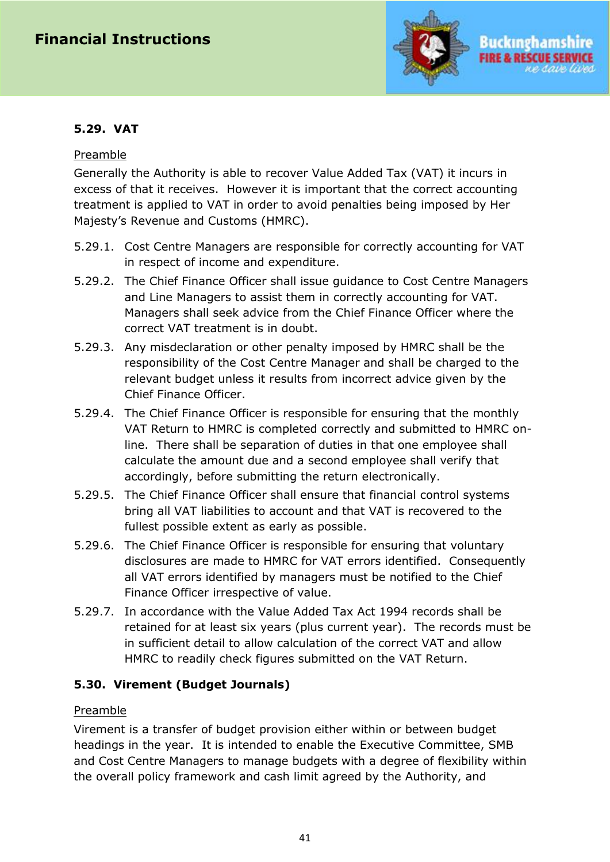

#### Preamble

Generally the Authority is able to recover Value Added Tax (VAT) it incurs in excess of that it receives. However it is important that the correct accounting treatment is applied to VAT in order to avoid penalties being imposed by Her Majesty's Revenue and Customs (HMRC).

- 5.29.1. Cost Centre Managers are responsible for correctly accounting for VAT in respect of income and expenditure.
- 5.29.2. The Chief Finance Officer shall issue guidance to Cost Centre Managers and Line Managers to assist them in correctly accounting for VAT. Managers shall seek advice from the Chief Finance Officer where the correct VAT treatment is in doubt.
- 5.29.3. Any misdeclaration or other penalty imposed by HMRC shall be the responsibility of the Cost Centre Manager and shall be charged to the relevant budget unless it results from incorrect advice given by the Chief Finance Officer.
- 5.29.4. The Chief Finance Officer is responsible for ensuring that the monthly VAT Return to HMRC is completed correctly and submitted to HMRC online. There shall be separation of duties in that one employee shall calculate the amount due and a second employee shall verify that accordingly, before submitting the return electronically.
- 5.29.5. The Chief Finance Officer shall ensure that financial control systems bring all VAT liabilities to account and that VAT is recovered to the fullest possible extent as early as possible.
- 5.29.6. The Chief Finance Officer is responsible for ensuring that voluntary disclosures are made to HMRC for VAT errors identified. Consequently all VAT errors identified by managers must be notified to the Chief Finance Officer irrespective of value.
- 5.29.7. In accordance with the Value Added Tax Act 1994 records shall be retained for at least six years (plus current year). The records must be in sufficient detail to allow calculation of the correct VAT and allow HMRC to readily check figures submitted on the VAT Return.

## <span id="page-40-0"></span>**5.30. Virement (Budget Journals)**

#### Preamble

Virement is a transfer of budget provision either within or between budget headings in the year. It is intended to enable the Executive Committee, SMB and Cost Centre Managers to manage budgets with a degree of flexibility within the overall policy framework and cash limit agreed by the Authority, and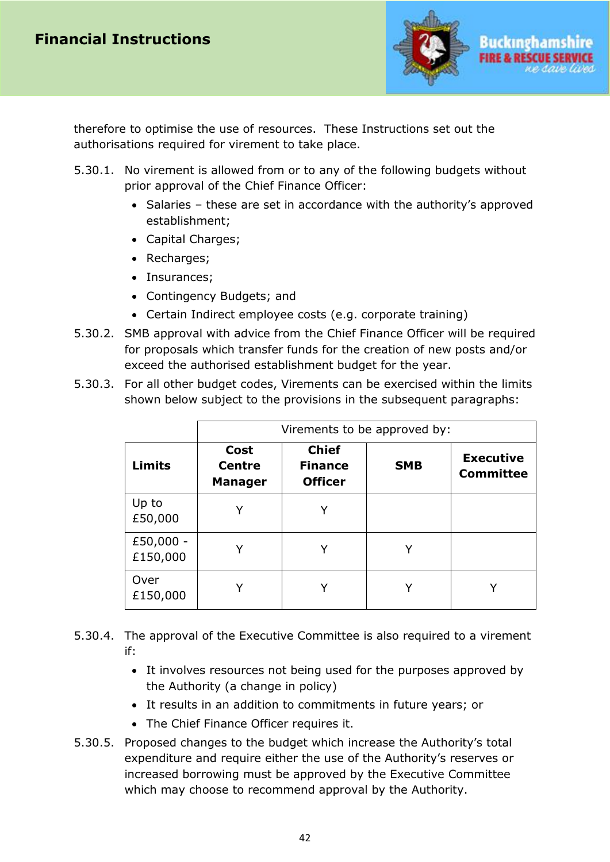

therefore to optimise the use of resources. These Instructions set out the authorisations required for virement to take place.

- 5.30.1. No virement is allowed from or to any of the following budgets without prior approval of the Chief Finance Officer:
	- Salaries these are set in accordance with the authority's approved establishment;
	- Capital Charges;
	- Recharges;
	- Insurances;
	- Contingency Budgets; and
	- Certain Indirect employee costs (e.g. corporate training)
- 5.30.2. SMB approval with advice from the Chief Finance Officer will be required for proposals which transfer funds for the creation of new posts and/or exceed the authorised establishment budget for the year.
- 5.30.3. For all other budget codes, Virements can be exercised within the limits shown below subject to the provisions in the subsequent paragraphs:

|                       | Virements to be approved by:            |                                                  |            |                                      |
|-----------------------|-----------------------------------------|--------------------------------------------------|------------|--------------------------------------|
| <b>Limits</b>         | Cost<br><b>Centre</b><br><b>Manager</b> | <b>Chief</b><br><b>Finance</b><br><b>Officer</b> | <b>SMB</b> | <b>Executive</b><br><b>Committee</b> |
| Up to<br>£50,000      |                                         | Y                                                |            |                                      |
| £50,000 -<br>£150,000 |                                         | Υ                                                |            |                                      |
| Over<br>£150,000      |                                         |                                                  |            |                                      |

- 5.30.4. The approval of the Executive Committee is also required to a virement if:
	- It involves resources not being used for the purposes approved by the Authority (a change in policy)
	- It results in an addition to commitments in future years; or
	- The Chief Finance Officer requires it.
- 5.30.5. Proposed changes to the budget which increase the Authority's total expenditure and require either the use of the Authority's reserves or increased borrowing must be approved by the Executive Committee which may choose to recommend approval by the Authority.